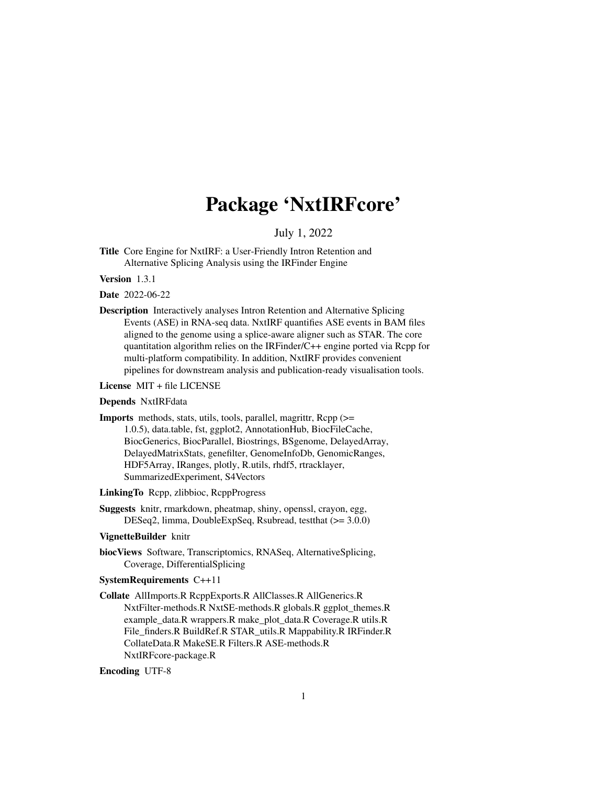# Package 'NxtIRFcore'

July 1, 2022

<span id="page-0-0"></span>Title Core Engine for NxtIRF: a User-Friendly Intron Retention and Alternative Splicing Analysis using the IRFinder Engine

Version 1.3.1

Date 2022-06-22

Description Interactively analyses Intron Retention and Alternative Splicing Events (ASE) in RNA-seq data. NxtIRF quantifies ASE events in BAM files aligned to the genome using a splice-aware aligner such as STAR. The core quantitation algorithm relies on the IRFinder/C++ engine ported via Rcpp for multi-platform compatibility. In addition, NxtIRF provides convenient pipelines for downstream analysis and publication-ready visualisation tools.

License MIT + file LICENSE

#### Depends NxtIRFdata

Imports methods, stats, utils, tools, parallel, magrittr, Rcpp (>= 1.0.5), data.table, fst, ggplot2, AnnotationHub, BiocFileCache, BiocGenerics, BiocParallel, Biostrings, BSgenome, DelayedArray, DelayedMatrixStats, genefilter, GenomeInfoDb, GenomicRanges, HDF5Array, IRanges, plotly, R.utils, rhdf5, rtracklayer, SummarizedExperiment, S4Vectors

LinkingTo Rcpp, zlibbioc, RcppProgress

Suggests knitr, rmarkdown, pheatmap, shiny, openssl, crayon, egg, DESeq2, limma, DoubleExpSeq, Rsubread, testthat (>= 3.0.0)

#### VignetteBuilder knitr

biocViews Software, Transcriptomics, RNASeq, AlternativeSplicing, Coverage, DifferentialSplicing

#### SystemRequirements C++11

Collate AllImports.R RcppExports.R AllClasses.R AllGenerics.R NxtFilter-methods.R NxtSE-methods.R globals.R ggplot\_themes.R example\_data.R wrappers.R make\_plot\_data.R Coverage.R utils.R File\_finders.R BuildRef.R STAR\_utils.R Mappability.R IRFinder.R CollateData.R MakeSE.R Filters.R ASE-methods.R NxtIRFcore-package.R

#### Encoding UTF-8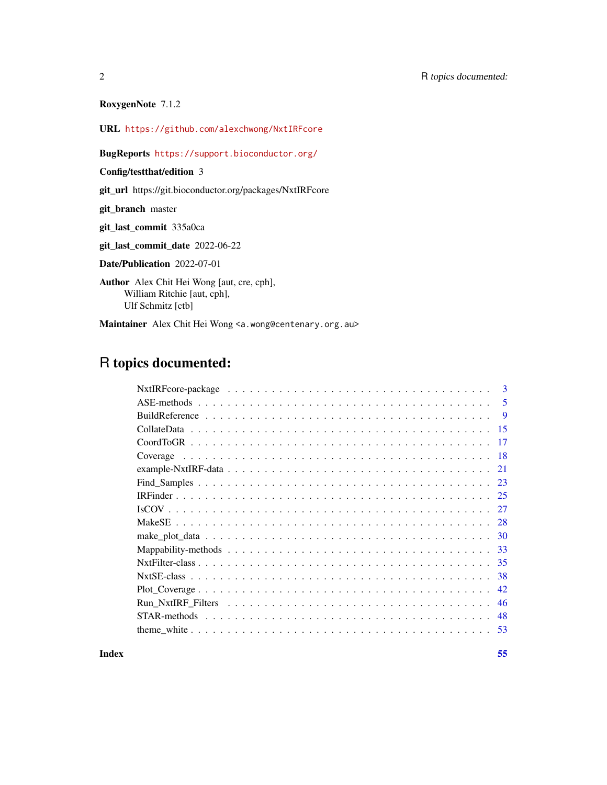RoxygenNote 7.1.2

URL <https://github.com/alexchwong/NxtIRFcore>

## BugReports <https://support.bioconductor.org/>

Config/testthat/edition 3

git\_url https://git.bioconductor.org/packages/NxtIRFcore

git\_branch master

git\_last\_commit 335a0ca

git\_last\_commit\_date 2022-06-22

Date/Publication 2022-07-01

Author Alex Chit Hei Wong [aut, cre, cph], William Ritchie [aut, cph], Ulf Schmitz [ctb]

Maintainer Alex Chit Hei Wong <a.wong@centenary.org.au>

## R topics documented:

|  | $\mathbf{B}$ |
|--|--------------|
|  | 5            |
|  | 9            |
|  | -15          |
|  | -17          |
|  |              |
|  | 21           |
|  | 23           |
|  | 25           |
|  | 27           |
|  | 28           |
|  | -30          |
|  | -33          |
|  | -35          |
|  | 38           |
|  | 42           |
|  | 46           |
|  | -48          |
|  | -53          |

**Index** [55](#page-54-0)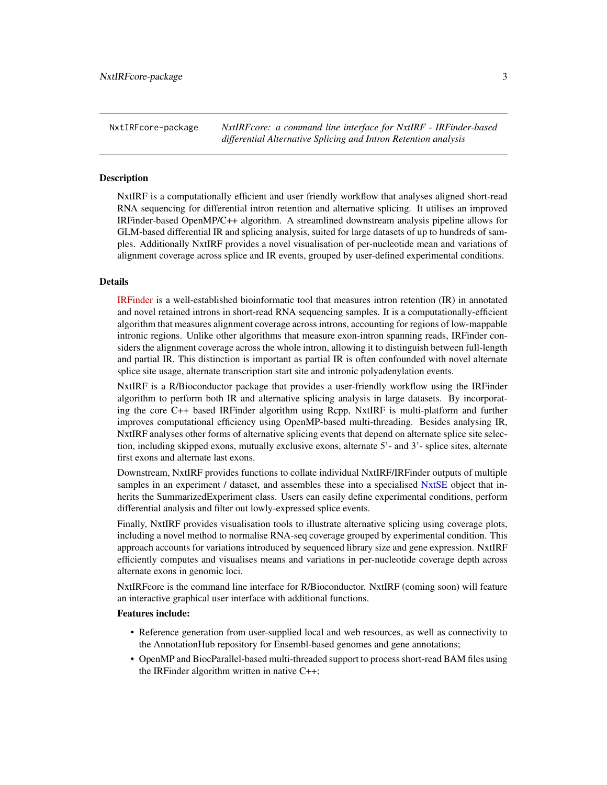<span id="page-2-0"></span>NxtIRFcore-package *NxtIRFcore: a command line interface for NxtIRF - IRFinder-based differential Alternative Splicing and Intron Retention analysis*

#### **Description**

NxtIRF is a computationally efficient and user friendly workflow that analyses aligned short-read RNA sequencing for differential intron retention and alternative splicing. It utilises an improved IRFinder-based OpenMP/C++ algorithm. A streamlined downstream analysis pipeline allows for GLM-based differential IR and splicing analysis, suited for large datasets of up to hundreds of samples. Additionally NxtIRF provides a novel visualisation of per-nucleotide mean and variations of alignment coverage across splice and IR events, grouped by user-defined experimental conditions.

#### Details

[IRFinder](https://doi.org/10.1186/s13059-017-1184-4) is a well-established bioinformatic tool that measures intron retention (IR) in annotated and novel retained introns in short-read RNA sequencing samples. It is a computationally-efficient algorithm that measures alignment coverage across introns, accounting for regions of low-mappable intronic regions. Unlike other algorithms that measure exon-intron spanning reads, IRFinder considers the alignment coverage across the whole intron, allowing it to distinguish between full-length and partial IR. This distinction is important as partial IR is often confounded with novel alternate splice site usage, alternate transcription start site and intronic polyadenylation events.

NxtIRF is a R/Bioconductor package that provides a user-friendly workflow using the IRFinder algorithm to perform both IR and alternative splicing analysis in large datasets. By incorporating the core C++ based IRFinder algorithm using Rcpp, NxtIRF is multi-platform and further improves computational efficiency using OpenMP-based multi-threading. Besides analysing IR, NxtIRF analyses other forms of alternative splicing events that depend on alternate splice site selection, including skipped exons, mutually exclusive exons, alternate 5'- and 3'- splice sites, alternate first exons and alternate last exons.

Downstream, NxtIRF provides functions to collate individual NxtIRF/IRFinder outputs of multiple samples in an experiment / dataset, and assembles these into a specialised [NxtSE](#page-37-1) object that inherits the SummarizedExperiment class. Users can easily define experimental conditions, perform differential analysis and filter out lowly-expressed splice events.

Finally, NxtIRF provides visualisation tools to illustrate alternative splicing using coverage plots, including a novel method to normalise RNA-seq coverage grouped by experimental condition. This approach accounts for variations introduced by sequenced library size and gene expression. NxtIRF efficiently computes and visualises means and variations in per-nucleotide coverage depth across alternate exons in genomic loci.

NxtIRFcore is the command line interface for R/Bioconductor. NxtIRF (coming soon) will feature an interactive graphical user interface with additional functions.

#### Features include:

- Reference generation from user-supplied local and web resources, as well as connectivity to the AnnotationHub repository for Ensembl-based genomes and gene annotations;
- OpenMP and BiocParallel-based multi-threaded support to process short-read BAM files using the IRFinder algorithm written in native C++;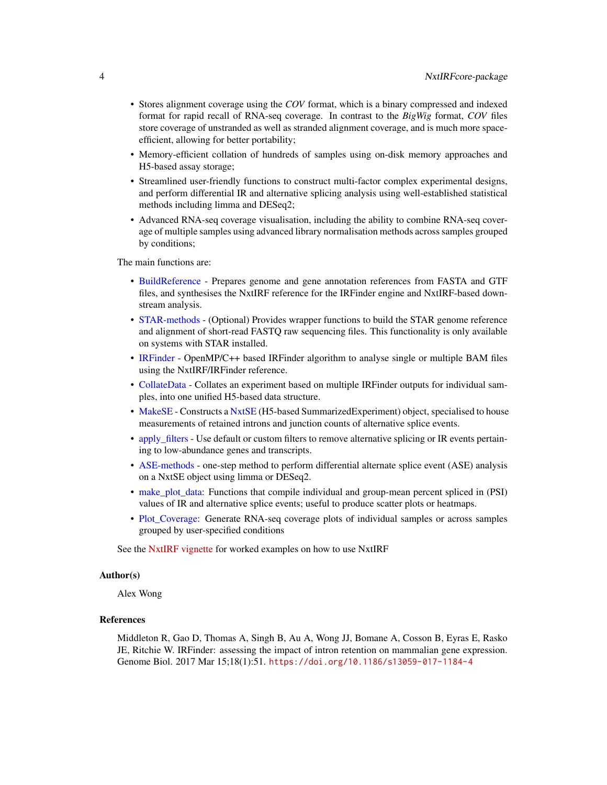- <span id="page-3-0"></span>• Stores alignment coverage using the *COV* format, which is a binary compressed and indexed format for rapid recall of RNA-seq coverage. In contrast to the *BigWig* format, *COV* files store coverage of unstranded as well as stranded alignment coverage, and is much more spaceefficient, allowing for better portability;
- Memory-efficient collation of hundreds of samples using on-disk memory approaches and H5-based assay storage;
- Streamlined user-friendly functions to construct multi-factor complex experimental designs, and perform differential IR and alternative splicing analysis using well-established statistical methods including limma and DESeq2;
- Advanced RNA-seq coverage visualisation, including the ability to combine RNA-seq coverage of multiple samples using advanced library normalisation methods across samples grouped by conditions;

The main functions are:

- [BuildReference](#page-8-1) Prepares genome and gene annotation references from FASTA and GTF files, and synthesises the NxtIRF reference for the IRFinder engine and NxtIRF-based downstream analysis.
- [STAR-methods](#page-47-1) (Optional) Provides wrapper functions to build the STAR genome reference and alignment of short-read FASTQ raw sequencing files. This functionality is only available on systems with STAR installed.
- [IRFinder](#page-24-1) OpenMP/C++ based IRFinder algorithm to analyse single or multiple BAM files using the NxtIRF/IRFinder reference.
- [CollateData](#page-14-1) Collates an experiment based on multiple IRFinder outputs for individual samples, into one unified H5-based data structure.
- [MakeSE](#page-27-1) Constructs a [NxtSE](#page-37-1) (H5-based SummarizedExperiment) object, specialised to house measurements of retained introns and junction counts of alternative splice events.
- [apply\\_filters](#page-45-1) Use default or custom filters to remove alternative splicing or IR events pertaining to low-abundance genes and transcripts.
- [ASE-methods](#page-4-1) one-step method to perform differential alternate splice event (ASE) analysis on a NxtSE object using limma or DESeq2.
- make plot data: Functions that compile individual and group-mean percent spliced in (PSI) values of IR and alternative splice events; useful to produce scatter plots or heatmaps.
- [Plot\\_Coverage:](#page-41-1) Generate RNA-seq coverage plots of individual samples or across samples grouped by user-specified conditions

See the [NxtIRF vignette](../doc/NxtIRF.html) for worked examples on how to use NxtIRF

#### Author(s)

Alex Wong

## References

Middleton R, Gao D, Thomas A, Singh B, Au A, Wong JJ, Bomane A, Cosson B, Eyras E, Rasko JE, Ritchie W. IRFinder: assessing the impact of intron retention on mammalian gene expression. Genome Biol. 2017 Mar 15;18(1):51. <https://doi.org/10.1186/s13059-017-1184-4>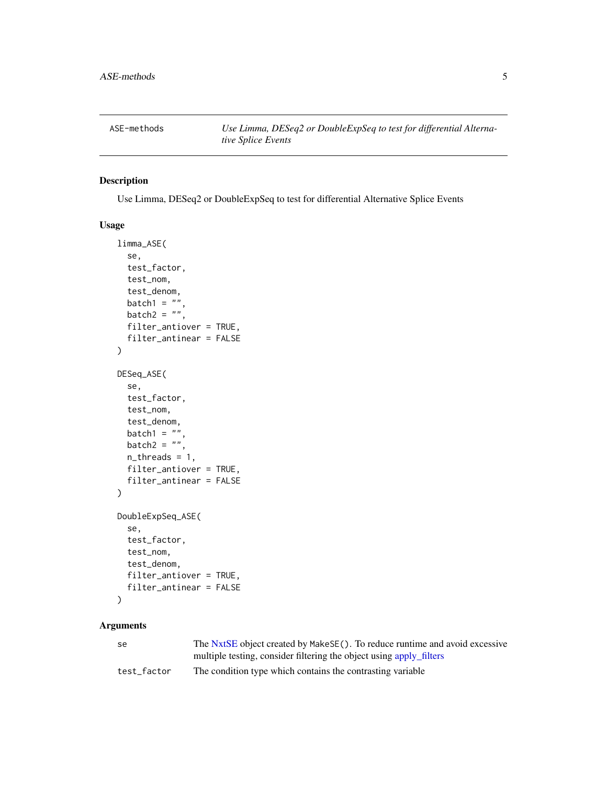<span id="page-4-1"></span><span id="page-4-0"></span>ASE-methods *Use Limma, DESeq2 or DoubleExpSeq to test for differential Alternative Splice Events*

## Description

Use Limma, DESeq2 or DoubleExpSeq to test for differential Alternative Splice Events

#### Usage

```
limma_ASE(
  se,
  test_factor,
  test_nom,
  test_denom,
  batch1 = ",
 batch2 = \dots,
  filter_antiover = TRUE,
  filter_antinear = FALSE
)
DESeq_ASE(
  se,
  test_factor,
  test_nom,
  test_denom,
  batch1 = ",
 batch2 = ",
  n_threads = 1,
  filter_antiover = TRUE,
  filter_antinear = FALSE
)
DoubleExpSeq_ASE(
  se,
  test_factor,
  test_nom,
  test_denom,
  filter_antiover = TRUE,
  filter_antinear = FALSE
)
```
#### Arguments

| -se         | The NxtSE object created by MakeSE(). To reduce runtime and avoid excessive |
|-------------|-----------------------------------------------------------------------------|
|             | multiple testing, consider filtering the object using apply filters         |
| test factor | The condition type which contains the contrasting variable                  |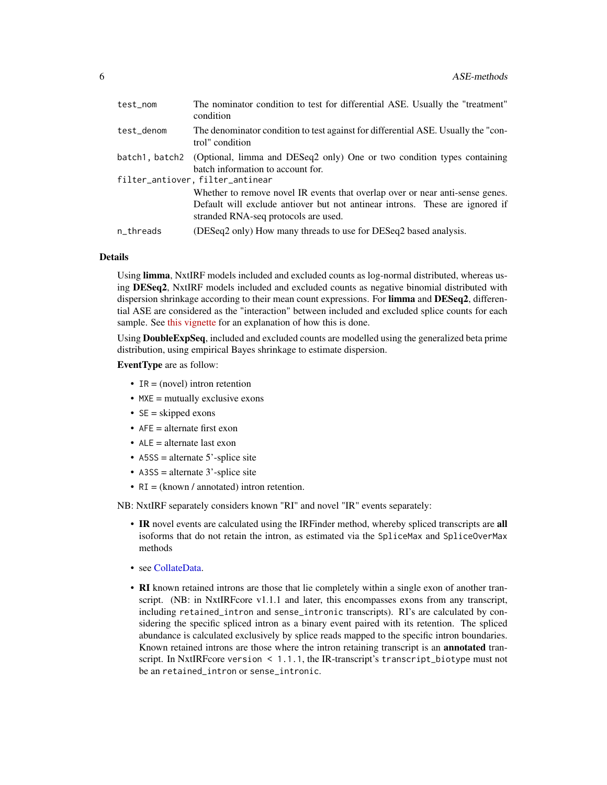<span id="page-5-0"></span>

| test_nom   | The nominator condition to test for differential ASE. Usually the "treatment"<br>condition                                                                                                                                                |
|------------|-------------------------------------------------------------------------------------------------------------------------------------------------------------------------------------------------------------------------------------------|
| test_denom | The denominator condition to test against for differential ASE. Usually the "con-<br>trol" condition                                                                                                                                      |
|            | batch1, batch2 (Optional, limma and DESeq2 only) One or two condition types containing<br>batch information to account for.                                                                                                               |
|            | filter_antiover, filter_antinear<br>Whether to remove novel IR events that overlap over or near anti-sense genes.<br>Default will exclude antiover but not antinear introns. These are ignored if<br>stranded RNA-seq protocols are used. |
| n_threads  | (DESeq2 only) How many threads to use for DESeq2 based analysis.                                                                                                                                                                          |

## Details

Using limma, NxtIRF models included and excluded counts as log-normal distributed, whereas using DESeq2, NxtIRF models included and excluded counts as negative binomial distributed with dispersion shrinkage according to their mean count expressions. For limma and DESeq2, differential ASE are considered as the "interaction" between included and excluded splice counts for each sample. See [this vignette](https://rpubs.com/mikelove/ase) for an explanation of how this is done.

Using DoubleExpSeq, included and excluded counts are modelled using the generalized beta prime distribution, using empirical Bayes shrinkage to estimate dispersion.

EventType are as follow:

- IR = (novel) intron retention
- $\bullet$  MXE = mutually exclusive exons
- $SE =$  skipped exons
- $AFE = alternate first exon$
- $ALE = alternate$  last exon
- A5SS = alternate 5'-splice site
- A3SS = alternate 3'-splice site
- RI = (known / annotated) intron retention.

NB: NxtIRF separately considers known "RI" and novel "IR" events separately:

- IR novel events are calculated using the IRFinder method, whereby spliced transcripts are all isoforms that do not retain the intron, as estimated via the SpliceMax and SpliceOverMax methods
- see [CollateData.](#page-14-1)
- RI known retained introns are those that lie completely within a single exon of another transcript. (NB: in NxtIRFcore v1.1.1 and later, this encompasses exons from any transcript, including retained\_intron and sense\_intronic transcripts). RI's are calculated by considering the specific spliced intron as a binary event paired with its retention. The spliced abundance is calculated exclusively by splice reads mapped to the specific intron boundaries. Known retained introns are those where the intron retaining transcript is an **annotated** transcript. In NxtIRFcore version < 1.1.1, the IR-transcript's transcript\_biotype must not be an retained\_intron or sense\_intronic.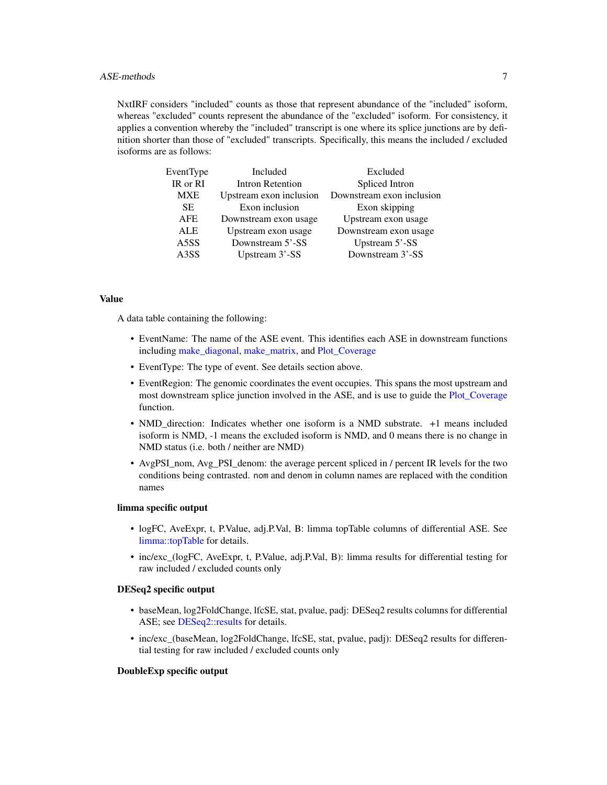## <span id="page-6-0"></span>ASE-methods 7

NxtIRF considers "included" counts as those that represent abundance of the "included" isoform, whereas "excluded" counts represent the abundance of the "excluded" isoform. For consistency, it applies a convention whereby the "included" transcript is one where its splice junctions are by definition shorter than those of "excluded" transcripts. Specifically, this means the included / excluded isoforms are as follows:

| EventType         | Included                | Excluded                  |
|-------------------|-------------------------|---------------------------|
| IR or RI          | Intron Retention        | Spliced Intron            |
| <b>MXE</b>        | Upstream exon inclusion | Downstream exon inclusion |
| <b>SE</b>         | Exon inclusion          | Exon skipping             |
| <b>AFE</b>        | Downstream exon usage   | Upstream exon usage       |
| <b>ALE</b>        | Upstream exon usage     | Downstream exon usage     |
| A5SS              | Downstream 5'-SS        | Upstream 5'-SS            |
| A <sub>3</sub> SS | Upstream 3'-SS          | Downstream 3'-SS          |
|                   |                         |                           |

## Value

A data table containing the following:

- EventName: The name of the ASE event. This identifies each ASE in downstream functions including make diagonal, make matrix, and Plot Coverage
- EventType: The type of event. See details section above.
- EventRegion: The genomic coordinates the event occupies. This spans the most upstream and most downstream splice junction involved in the ASE, and is use to guide the [Plot\\_Coverage](#page-41-1) function.
- NMD direction: Indicates whether one isoform is a NMD substrate. +1 means included isoform is NMD, -1 means the excluded isoform is NMD, and 0 means there is no change in NMD status (i.e. both / neither are NMD)
- AvgPSI\_nom, Avg\_PSI\_denom: the average percent spliced in / percent IR levels for the two conditions being contrasted. nom and denom in column names are replaced with the condition names

## limma specific output

- logFC, AveExpr, t, P.Value, adj.P.Val, B: limma topTable columns of differential ASE. See [limma::topTable](#page-0-0) for details.
- inc/exc\_(logFC, AveExpr, t, P.Value, adj.P.Val, B): limma results for differential testing for raw included / excluded counts only

## DESeq2 specific output

- baseMean, log2FoldChange, lfcSE, stat, pvalue, padj: DESeq2 results columns for differential ASE; see [DESeq2::results](#page-0-0) for details.
- inc/exc\_(baseMean, log2FoldChange, lfcSE, stat, pvalue, padj): DESeq2 results for differential testing for raw included / excluded counts only

#### DoubleExp specific output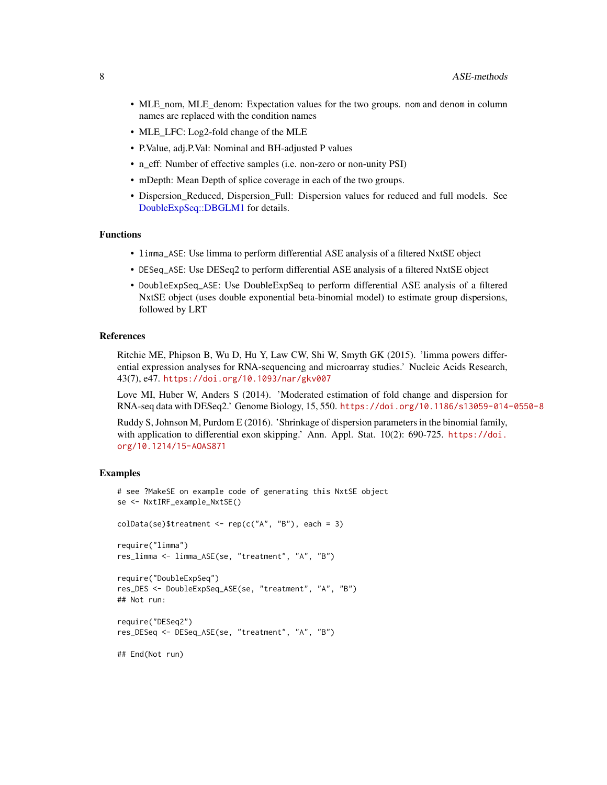- <span id="page-7-0"></span>• MLE\_nom, MLE\_denom: Expectation values for the two groups. nom and denom in column names are replaced with the condition names
- MLE LFC: Log2-fold change of the MLE
- P.Value, adj.P.Val: Nominal and BH-adjusted P values
- n\_eff: Number of effective samples (i.e. non-zero or non-unity PSI)
- mDepth: Mean Depth of splice coverage in each of the two groups.
- Dispersion\_Reduced, Dispersion\_Full: Dispersion values for reduced and full models. See [DoubleExpSeq::DBGLM1](#page-0-0) for details.

#### Functions

- limma\_ASE: Use limma to perform differential ASE analysis of a filtered NxtSE object
- DESeq\_ASE: Use DESeq2 to perform differential ASE analysis of a filtered NxtSE object
- DoubleExpSeq\_ASE: Use DoubleExpSeq to perform differential ASE analysis of a filtered NxtSE object (uses double exponential beta-binomial model) to estimate group dispersions, followed by LRT

#### References

Ritchie ME, Phipson B, Wu D, Hu Y, Law CW, Shi W, Smyth GK (2015). 'limma powers differential expression analyses for RNA-sequencing and microarray studies.' Nucleic Acids Research, 43(7), e47. <https://doi.org/10.1093/nar/gkv007>

Love MI, Huber W, Anders S (2014). 'Moderated estimation of fold change and dispersion for RNA-seq data with DESeq2.' Genome Biology, 15, 550. <https://doi.org/10.1186/s13059-014-0550-8>

Ruddy S, Johnson M, Purdom E (2016). 'Shrinkage of dispersion parameters in the binomial family, with application to differential exon skipping.' Ann. Appl. Stat. 10(2): 690-725. [https://doi.](https://doi.org/10.1214/15-AOAS871) [org/10.1214/15-AOAS871](https://doi.org/10.1214/15-AOAS871)

#### Examples

```
# see ?MakeSE on example code of generating this NxtSE object
se <- NxtIRF_example_NxtSE()
colData(se)$treatment <- rep(c("A", "B"), each = 3)require("limma")
res_limma <- limma_ASE(se, "treatment", "A", "B")
require("DoubleExpSeq")
res_DES <- DoubleExpSeq_ASE(se, "treatment", "A", "B")
## Not run:
require("DESeq2")
res_DESeq <- DESeq_ASE(se, "treatment", "A", "B")
```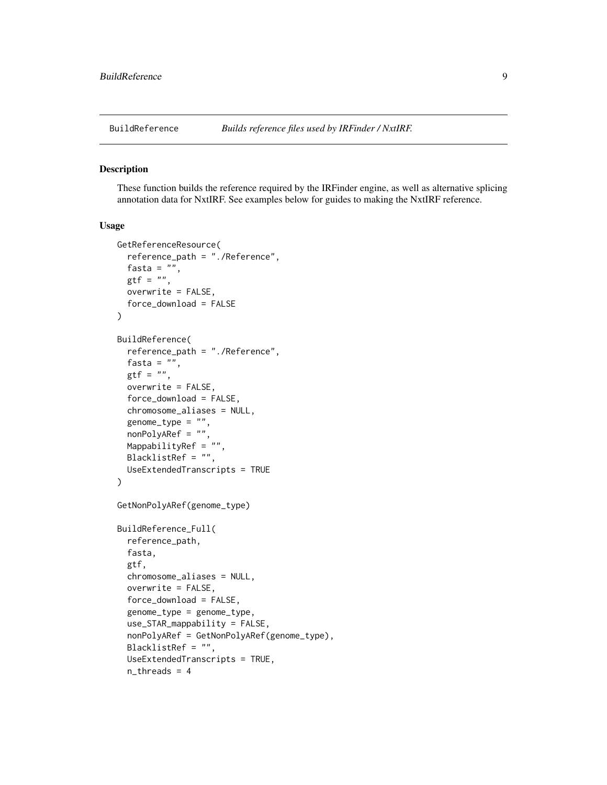<span id="page-8-1"></span><span id="page-8-0"></span>

#### <span id="page-8-2"></span>Description

These function builds the reference required by the IRFinder engine, as well as alternative splicing annotation data for NxtIRF. See examples below for guides to making the NxtIRF reference.

#### Usage

```
GetReferenceResource(
  reference_path = "./Reference",
  fasta = ",
 gtf = "",overwrite = FALSE,
  force_download = FALSE
)
BuildReference(
  reference_path = "./Reference",
  fasta = ",
  gtf = "",overwrite = FALSE,
  force_download = FALSE,
  chromosome_aliases = NULL,
  genome\_type = "",nonPolyARef = "",
  MappabilityRef = "",
  BlacklistRef = "",
  UseExtendedTranscripts = TRUE
\lambdaGetNonPolyARef(genome_type)
BuildReference_Full(
  reference_path,
  fasta,
  gtf,
  chromosome_aliases = NULL,
  overwrite = FALSE,
  force_download = FALSE,
  genome_type = genome_type,
  use_STAR_mappability = FALSE,
  nonPolyARef = GetNonPolyARef(genome_type),
  BlacklistRef = "",
  UseExtendedTranscripts = TRUE,
  n_threads = 4
```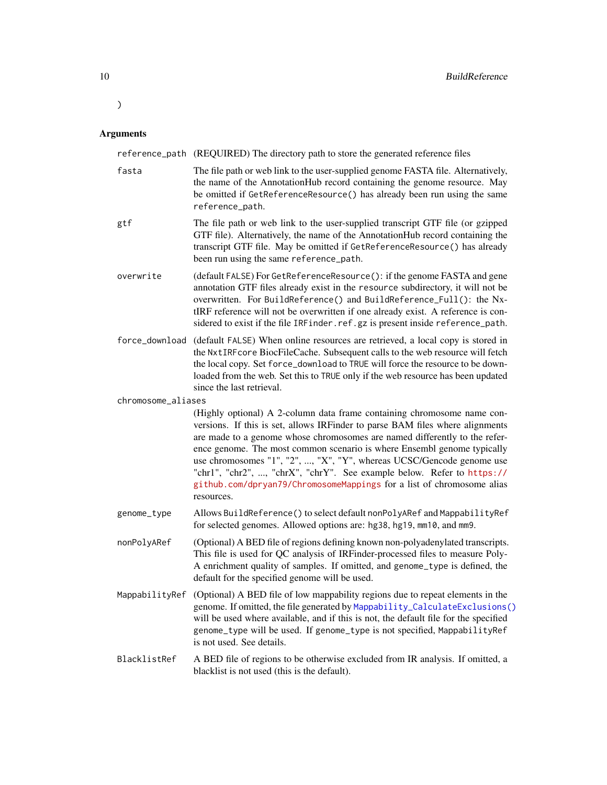#### Arguments

<span id="page-9-0"></span>)

reference\_path (REQUIRED) The directory path to store the generated reference files

| fasta | The file path or web link to the user-supplied genome FASTA file. Alternatively, |
|-------|----------------------------------------------------------------------------------|
|       | the name of the AnnotationHub record containing the genome resource. May         |
|       | be omitted if GetReferenceResource() has already been run using the same         |
|       | reference_path.                                                                  |
|       |                                                                                  |

- gtf The file path or web link to the user-supplied transcript GTF file (or gzipped GTF file). Alternatively, the name of the AnnotationHub record containing the transcript GTF file. May be omitted if GetReferenceResource() has already been run using the same reference\_path.
- overwrite (default FALSE) For GetReferenceResource(): if the genome FASTA and gene annotation GTF files already exist in the resource subdirectory, it will not be overwritten. For BuildReference() and BuildReference\_Full(): the NxtIRF reference will not be overwritten if one already exist. A reference is considered to exist if the file IRF inder.ref.gz is present inside reference\_path.
- force\_download (default FALSE) When online resources are retrieved, a local copy is stored in the NxtIRFcore BiocFileCache. Subsequent calls to the web resource will fetch the local copy. Set force\_download to TRUE will force the resource to be downloaded from the web. Set this to TRUE only if the web resource has been updated since the last retrieval.

chromosome\_aliases

(Highly optional) A 2-column data frame containing chromosome name conversions. If this is set, allows IRFinder to parse BAM files where alignments are made to a genome whose chromosomes are named differently to the reference genome. The most common scenario is where Ensembl genome typically use chromosomes "1", "2", ..., "X", "Y", whereas UCSC/Gencode genome use "chr1", "chr2", ..., "chrX", "chrY". See example below. Refer to [https://](https://github.com/dpryan79/ChromosomeMappings) [github.com/dpryan79/ChromosomeMappings](https://github.com/dpryan79/ChromosomeMappings) for a list of chromosome alias resources.

- genome\_type Allows BuildReference() to select default nonPolyARef and MappabilityRef for selected genomes. Allowed options are: hg38, hg19, mm10, and mm9.
- nonPolyARef (Optional) A BED file of regions defining known non-polyadenylated transcripts. This file is used for QC analysis of IRFinder-processed files to measure Poly-A enrichment quality of samples. If omitted, and genome\_type is defined, the default for the specified genome will be used.
- MappabilityRef (Optional) A BED file of low mappability regions due to repeat elements in the genome. If omitted, the file generated by [Mappability\\_CalculateExclusions\(\)](#page-32-1) will be used where available, and if this is not, the default file for the specified genome\_type will be used. If genome\_type is not specified, MappabilityRef is not used. See details.
- BlacklistRef A BED file of regions to be otherwise excluded from IR analysis. If omitted, a blacklist is not used (this is the default).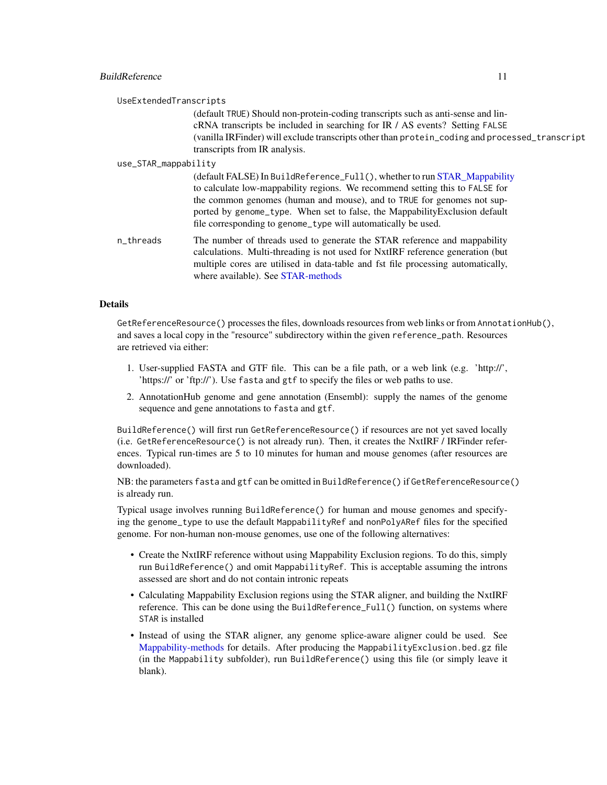## <span id="page-10-0"></span>**BuildReference** 11

| UseExtendedTranscripts |                                                                                                                                                                                                                                                                                                                                                                                    |  |
|------------------------|------------------------------------------------------------------------------------------------------------------------------------------------------------------------------------------------------------------------------------------------------------------------------------------------------------------------------------------------------------------------------------|--|
|                        | (default TRUE) Should non-protein-coding transcripts such as anti-sense and lin-<br>cRNA transcripts be included in searching for IR / AS events? Setting FALSE<br>(vanilla IRFinder) will exclude transcripts other than protein_coding and processed_transcript<br>transcripts from IR analysis.                                                                                 |  |
| use_STAR_mappability   |                                                                                                                                                                                                                                                                                                                                                                                    |  |
|                        | (default FALSE) In BuildReference_Full(), whether to run STAR_Mappability<br>to calculate low-mappability regions. We recommend setting this to FALSE for<br>the common genomes (human and mouse), and to TRUE for genomes not sup-<br>ported by genome_type. When set to false, the MappabilityExclusion default<br>file corresponding to genome_type will automatically be used. |  |
| n_threads              | The number of threads used to generate the STAR reference and mappability<br>calculations. Multi-threading is not used for NxtIRF reference generation (but<br>multiple cores are utilised in data-table and fst file processing automatically,<br>where available). See STAR-methods                                                                                              |  |

#### Details

GetReferenceResource() processes the files, downloads resources from web links or from AnnotationHub(), and saves a local copy in the "resource" subdirectory within the given reference\_path. Resources are retrieved via either:

- 1. User-supplied FASTA and GTF file. This can be a file path, or a web link (e.g. 'http://', 'https://' or 'ftp://'). Use fasta and gtf to specify the files or web paths to use.
- 2. AnnotationHub genome and gene annotation (Ensembl): supply the names of the genome sequence and gene annotations to fasta and gtf.

BuildReference() will first run GetReferenceResource() if resources are not yet saved locally (i.e. GetReferenceResource() is not already run). Then, it creates the NxtIRF / IRFinder references. Typical run-times are 5 to 10 minutes for human and mouse genomes (after resources are downloaded).

NB: the parameters fasta and gtf can be omitted in BuildReference() if GetReferenceResource() is already run.

Typical usage involves running BuildReference() for human and mouse genomes and specifying the genome\_type to use the default MappabilityRef and nonPolyARef files for the specified genome. For non-human non-mouse genomes, use one of the following alternatives:

- Create the NxtIRF reference without using Mappability Exclusion regions. To do this, simply run BuildReference() and omit MappabilityRef. This is acceptable assuming the introns assessed are short and do not contain intronic repeats
- Calculating Mappability Exclusion regions using the STAR aligner, and building the NxtIRF reference. This can be done using the BuildReference\_Full() function, on systems where STAR is installed
- Instead of using the STAR aligner, any genome splice-aware aligner could be used. See [Mappability-methods](#page-32-2) for details. After producing the MappabilityExclusion.bed.gz file (in the Mappability subfolder), run BuildReference() using this file (or simply leave it blank).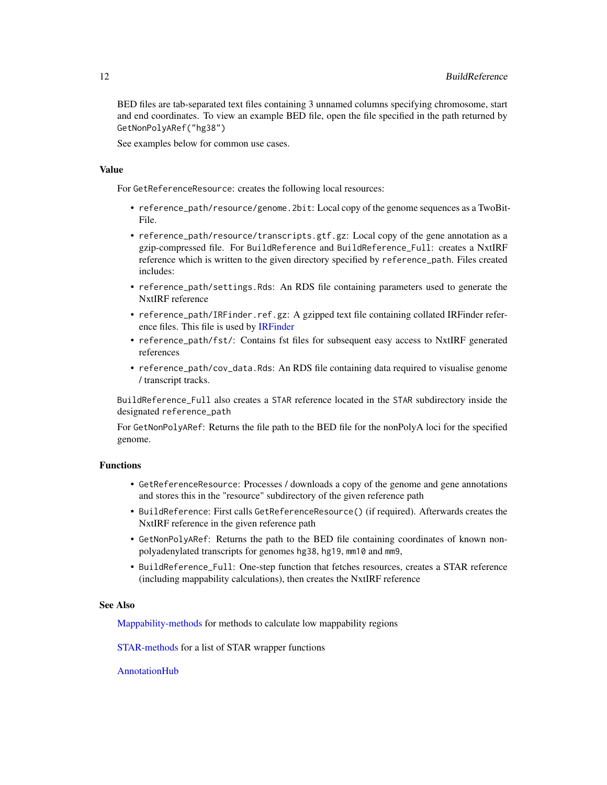<span id="page-11-0"></span>BED files are tab-separated text files containing 3 unnamed columns specifying chromosome, start and end coordinates. To view an example BED file, open the file specified in the path returned by GetNonPolyARef("hg38")

See examples below for common use cases.

#### Value

For GetReferenceResource: creates the following local resources:

- reference\_path/resource/genome.2bit: Local copy of the genome sequences as a TwoBit-File.
- reference\_path/resource/transcripts.gtf.gz: Local copy of the gene annotation as a gzip-compressed file. For BuildReference and BuildReference\_Full: creates a NxtIRF reference which is written to the given directory specified by reference\_path. Files created includes:
- reference\_path/settings.Rds: An RDS file containing parameters used to generate the NxtIRF reference
- reference\_path/IRFinder.ref.gz: A gzipped text file containing collated IRFinder reference files. This file is used by [IRFinder](#page-24-1)
- reference\_path/fst/: Contains fst files for subsequent easy access to NxtIRF generated references
- reference\_path/cov\_data.Rds: An RDS file containing data required to visualise genome / transcript tracks.

BuildReference\_Full also creates a STAR reference located in the STAR subdirectory inside the designated reference\_path

For GetNonPolyARef: Returns the file path to the BED file for the nonPolyA loci for the specified genome.

#### Functions

- GetReferenceResource: Processes / downloads a copy of the genome and gene annotations and stores this in the "resource" subdirectory of the given reference path
- BuildReference: First calls GetReferenceResource() (if required). Afterwards creates the NxtIRF reference in the given reference path
- GetNonPolyARef: Returns the path to the BED file containing coordinates of known nonpolyadenylated transcripts for genomes hg38, hg19, mm10 and mm9,
- BuildReference\_Full: One-step function that fetches resources, creates a STAR reference (including mappability calculations), then creates the NxtIRF reference

## See Also

[Mappability-methods](#page-32-2) for methods to calculate low mappability regions

[STAR-methods](#page-47-1) for a list of STAR wrapper functions

## [AnnotationHub](#page-0-0)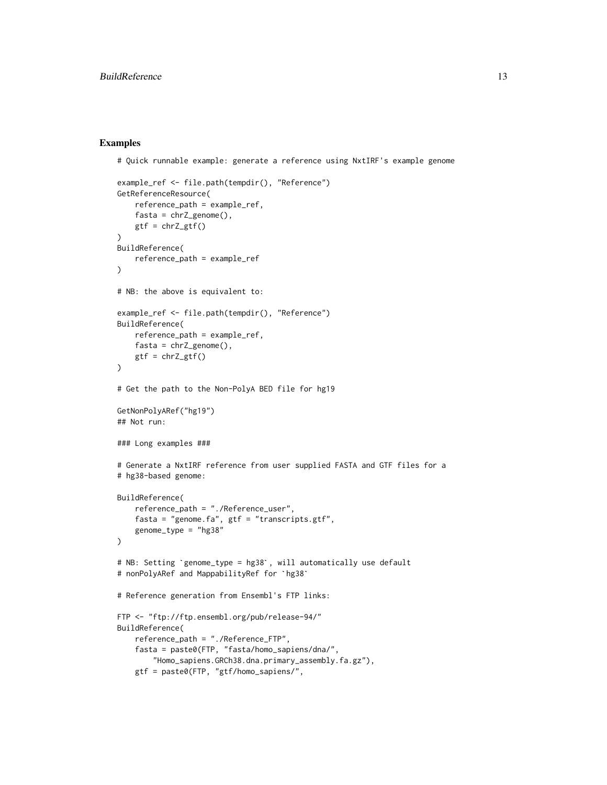## Examples

# Quick runnable example: generate a reference using NxtIRF's example genome

```
example_ref <- file.path(tempdir(), "Reference")
GetReferenceResource(
    reference_path = example_ref,
    fasta = chrZ_genome(),
    gtf = chrZ_gtf())
BuildReference(
    reference_path = example_ref
\lambda# NB: the above is equivalent to:
example_ref <- file.path(tempdir(), "Reference")
BuildReference(
    reference_path = example_ref,
    fasta = chrZ\_genome(),
    gtf = chrZ_gtf())
# Get the path to the Non-PolyA BED file for hg19
GetNonPolyARef("hg19")
## Not run:
### Long examples ###
# Generate a NxtIRF reference from user supplied FASTA and GTF files for a
# hg38-based genome:
BuildReference(
    reference_path = "./Reference_user",
    fasta = "genome.fa", gtf = "transcripts.gtf",
    genome_type = "hg38"
\lambdagenome_type = "hg38"<br>)<br># NB: Setting `genome_type = hg38`, will automatically use default
)<br># NB: Setting `genome_type = hg38`, will au<br># nonPolyARef and MappabilityRef for `hg38`
# Reference generation from Ensembl's FTP links:
FTP <- "ftp://ftp.ensembl.org/pub/release-94/"
BuildReference(
    reference_path = "./Reference_FTP",
    fasta = paste0(FTP, "fasta/homo_sapiens/dna/",
        "Homo_sapiens.GRCh38.dna.primary_assembly.fa.gz"),
    gtf = paste0(FTP, "gtf/homo_sapiens/",
```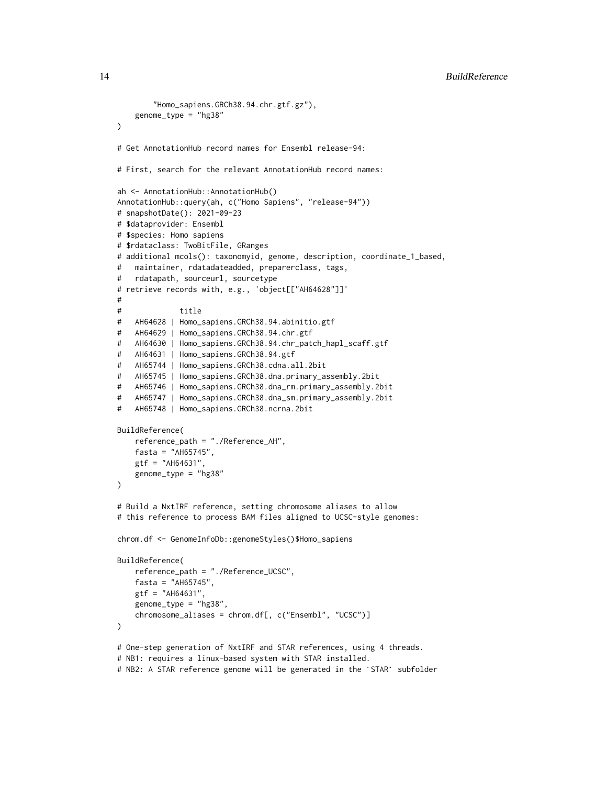14 BuildReference

```
"Homo_sapiens.GRCh38.94.chr.gtf.gz"),
    genome_type = "hg38"
)
# Get AnnotationHub record names for Ensembl release-94:
# First, search for the relevant AnnotationHub record names:
ah <- AnnotationHub::AnnotationHub()
AnnotationHub::query(ah, c("Homo Sapiens", "release-94"))
# snapshotDate(): 2021-09-23
# $dataprovider: Ensembl
# $species: Homo sapiens
# $rdataclass: TwoBitFile, GRanges
# additional mcols(): taxonomyid, genome, description, coordinate_1_based,
# maintainer, rdatadateadded, preparerclass, tags,
# rdatapath, sourceurl, sourcetype
# retrieve records with, e.g., 'object[["AH64628"]]'
#
# title
# AH64628 | Homo_sapiens.GRCh38.94.abinitio.gtf
# AH64629 | Homo_sapiens.GRCh38.94.chr.gtf
# AH64630 | Homo_sapiens.GRCh38.94.chr_patch_hapl_scaff.gtf
# AH64631 | Homo_sapiens.GRCh38.94.gtf
# AH65744 | Homo_sapiens.GRCh38.cdna.all.2bit
# AH65745 | Homo_sapiens.GRCh38.dna.primary_assembly.2bit
# AH65746 | Homo_sapiens.GRCh38.dna_rm.primary_assembly.2bit
# AH65747 | Homo_sapiens.GRCh38.dna_sm.primary_assembly.2bit
# AH65748 | Homo_sapiens.GRCh38.ncrna.2bit
BuildReference(
   reference_path = "./Reference_AH",
   fasta = "AH65745",
   gtf = "AH64631",genome_type = "hg38"
\lambda# Build a NxtIRF reference, setting chromosome aliases to allow
# this reference to process BAM files aligned to UCSC-style genomes:
chrom.df <- GenomeInfoDb::genomeStyles()$Homo_sapiens
BuildReference(
   reference_path = "./Reference_UCSC",
   fasta = "AH65745",
   gtf = "AH64631",
   genome_type = "hg38",
   chromosome_aliases = chrom.df[, c("Ensembl", "UCSC")]
\mathcal{L}# One-step generation of NxtIRF and STAR references, using 4 threads.
# NB1: requires a linux-based system with STAR installed.
```

```
# NB2: A STAR reference genome will be generated in the `STAR` subfolder
```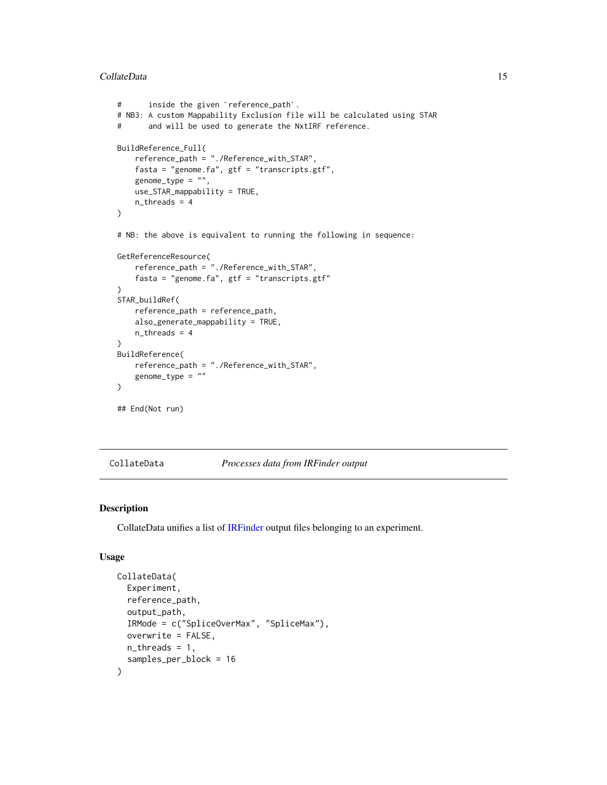#### CollateData 15

```
# inside the given `reference_path`.
    # NB3: A custom Mappability Exclusion file will be calculated using STAR
    # and will be used to generate the NxtIRF reference.
    BuildReference_Full(
       reference_path = "./Reference_with_STAR",
       fasta = "genome.fa", gtf = "transcripts.gtf",
       genome_type = ",
       use_STAR_mappability = TRUE,
       n_threads = 4
    )
    # NB: the above is equivalent to running the following in sequence:
    GetReferenceResource(
        reference_path = "./Reference_with_STAR",
       fasta = "genome.fa", gtf = "transcripts.gtf"
    )
    STAR_buildRef(
        reference_path = reference_path,
       also_generate_mappability = TRUE,
       n_threads = 4
    \lambdaBuildReference(
       reference_path = "./Reference_with_STAR",
        genome_type = ""
    )
    ## End(Not run)
```
#### <span id="page-14-1"></span>CollateData *Processes data from IRFinder output*

## Description

CollateData unifies a list of [IRFinder](#page-24-1) output files belonging to an experiment.

#### Usage

```
CollateData(
  Experiment,
  reference_path,
  output_path,
  IRMode = c("SpliceOverMax", "SpliceMax"),
  overwrite = FALSE,
  n_threads = 1,
  samples_per_block = 16
)
```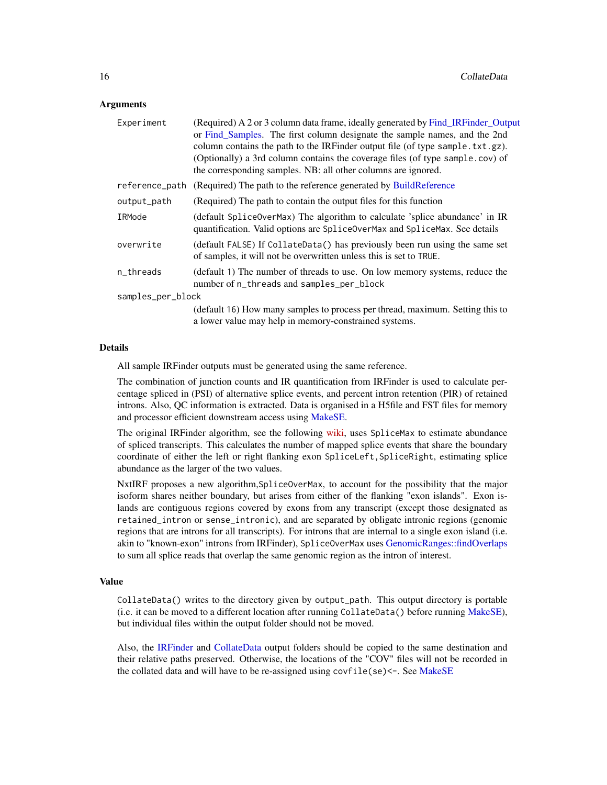#### <span id="page-15-0"></span>**Arguments**

| Experiment        | (Required) A 2 or 3 column data frame, ideally generated by Find_IRFinder_Output<br>or Find_Samples. The first column designate the sample names, and the 2nd<br>column contains the path to the IRFinder output file (of type sample.txt.gz).<br>(Optionally) a 3rd column contains the coverage files (of type sample.cov) of<br>the corresponding samples. NB: all other columns are ignored. |
|-------------------|--------------------------------------------------------------------------------------------------------------------------------------------------------------------------------------------------------------------------------------------------------------------------------------------------------------------------------------------------------------------------------------------------|
| reference_path    | (Required) The path to the reference generated by BuildReference                                                                                                                                                                                                                                                                                                                                 |
| output_path       | (Required) The path to contain the output files for this function                                                                                                                                                                                                                                                                                                                                |
| IRMode            | (default SpliceOverMax) The algorithm to calculate 'splice abundance' in IR<br>quantification. Valid options are SpliceOverMax and SpliceMax. See details                                                                                                                                                                                                                                        |
| overwrite         | (default FALSE) If CollateData() has previously been run using the same set<br>of samples, it will not be overwritten unless this is set to TRUE.                                                                                                                                                                                                                                                |
| n_threads         | (default 1) The number of threads to use. On low memory systems, reduce the<br>number of n_threads and samples_per_block                                                                                                                                                                                                                                                                         |
| samples_per_block |                                                                                                                                                                                                                                                                                                                                                                                                  |
|                   | (default 16) How many samples to process per thread, maximum. Setting this to<br>a lower value may help in memory-constrained systems.                                                                                                                                                                                                                                                           |

#### Details

All sample IRFinder outputs must be generated using the same reference.

The combination of junction counts and IR quantification from IRFinder is used to calculate percentage spliced in (PSI) of alternative splice events, and percent intron retention (PIR) of retained introns. Also, QC information is extracted. Data is organised in a H5file and FST files for memory and processor efficient downstream access using [MakeSE.](#page-27-1)

The original IRFinder algorithm, see the following [wiki,](https://github.com/williamritchie/IRFinder/wiki/IRFinder-Output) uses SpliceMax to estimate abundance of spliced transcripts. This calculates the number of mapped splice events that share the boundary coordinate of either the left or right flanking exon SpliceLeft,SpliceRight, estimating splice abundance as the larger of the two values.

NxtIRF proposes a new algorithm,SpliceOverMax, to account for the possibility that the major isoform shares neither boundary, but arises from either of the flanking "exon islands". Exon islands are contiguous regions covered by exons from any transcript (except those designated as retained\_intron or sense\_intronic), and are separated by obligate intronic regions (genomic regions that are introns for all transcripts). For introns that are internal to a single exon island (i.e. akin to "known-exon" introns from IRFinder), SpliceOverMax uses [GenomicRanges::findOverlaps](#page-0-0) to sum all splice reads that overlap the same genomic region as the intron of interest.

#### Value

CollateData() writes to the directory given by output\_path. This output directory is portable (i.e. it can be moved to a different location after running  $CollateData()$  before running [MakeSE\)](#page-27-1), but individual files within the output folder should not be moved.

Also, the [IRFinder](#page-24-1) and [CollateData](#page-14-1) output folders should be copied to the same destination and their relative paths preserved. Otherwise, the locations of the "COV" files will not be recorded in the collated data and will have to be re-assigned using covfile(se)<-. See [MakeSE](#page-27-1)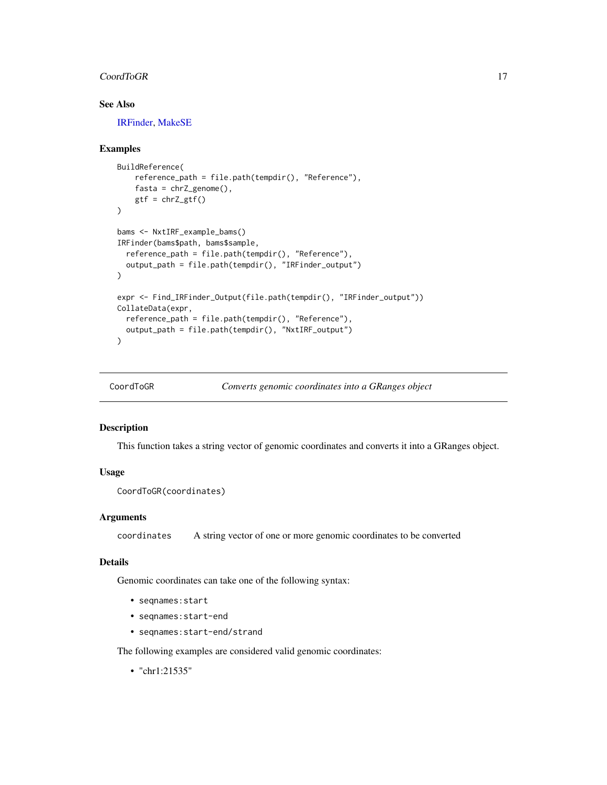#### <span id="page-16-0"></span>CoordToGR 17

## See Also

[IRFinder,](#page-24-1) [MakeSE](#page-27-1)

## Examples

```
BuildReference(
    reference_path = file.path(tempdir(), "Reference"),
    fasta = chrZ\_genome(),
   gtf = chrZ_gtf())
bams <- NxtIRF_example_bams()
IRFinder(bams$path, bams$sample,
  reference_path = file.path(tempdir(), "Reference"),
  output_path = file.path(tempdir(), "IRFinder_output")
\lambdaexpr <- Find_IRFinder_Output(file.path(tempdir(), "IRFinder_output"))
CollateData(expr,
  reference_path = file.path(tempdir(), "Reference"),
  output_path = file.path(tempdir(), "NxtIRF_output")
)
```

```
CoordToGR Converts genomic coordinates into a GRanges object
```
#### Description

This function takes a string vector of genomic coordinates and converts it into a GRanges object.

#### Usage

CoordToGR(coordinates)

#### Arguments

coordinates A string vector of one or more genomic coordinates to be converted

#### Details

Genomic coordinates can take one of the following syntax:

- seqnames:start
- seqnames:start-end
- seqnames:start-end/strand

The following examples are considered valid genomic coordinates:

• "chr1:21535"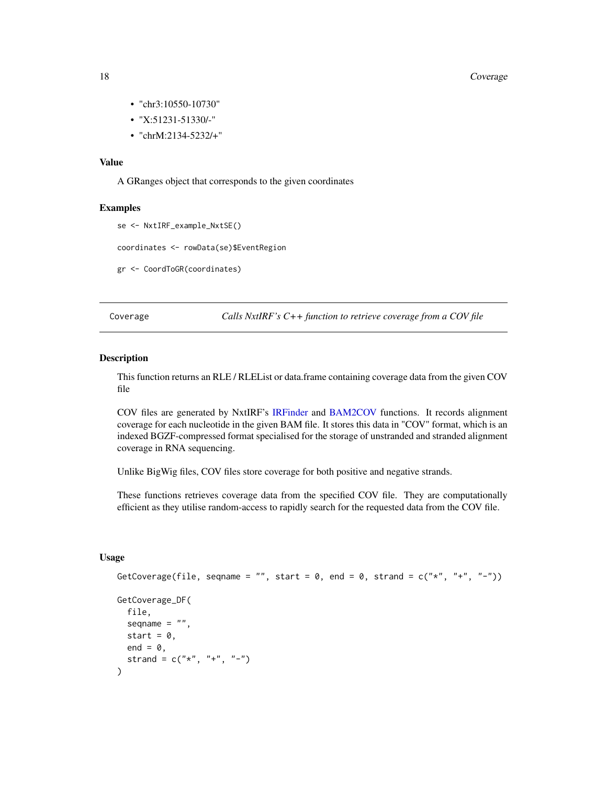#### 18 Coverage 2014 18 Coverage 2014 18 Coverage 2014 18 Coverage 2014 18 Coverage

- "chr3:10550-10730"
- "X:51231-51330/-"
- "chrM:2134-5232/+"

## Value

A GRanges object that corresponds to the given coordinates

#### Examples

```
se <- NxtIRF_example_NxtSE()
```
coordinates <- rowData(se)\$EventRegion

gr <- CoordToGR(coordinates)

Coverage *Calls NxtIRF's C++ function to retrieve coverage from a COV file*

#### <span id="page-17-1"></span>Description

This function returns an RLE / RLEList or data.frame containing coverage data from the given COV file

COV files are generated by NxtIRF's [IRFinder](#page-24-1) and [BAM2COV](#page-24-2) functions. It records alignment coverage for each nucleotide in the given BAM file. It stores this data in "COV" format, which is an indexed BGZF-compressed format specialised for the storage of unstranded and stranded alignment coverage in RNA sequencing.

Unlike BigWig files, COV files store coverage for both positive and negative strands.

These functions retrieves coverage data from the specified COV file. They are computationally efficient as they utilise random-access to rapidly search for the requested data from the COV file.

#### Usage

```
GetCoverage(file, seqname = "", start = 0, end = 0, strand = c("*", "+", "-"))GetCoverage_DF(
 file,
 seqname = ",
 start = 0,
 end = 0,strand = c("*", "+", "--"))
```
<span id="page-17-0"></span>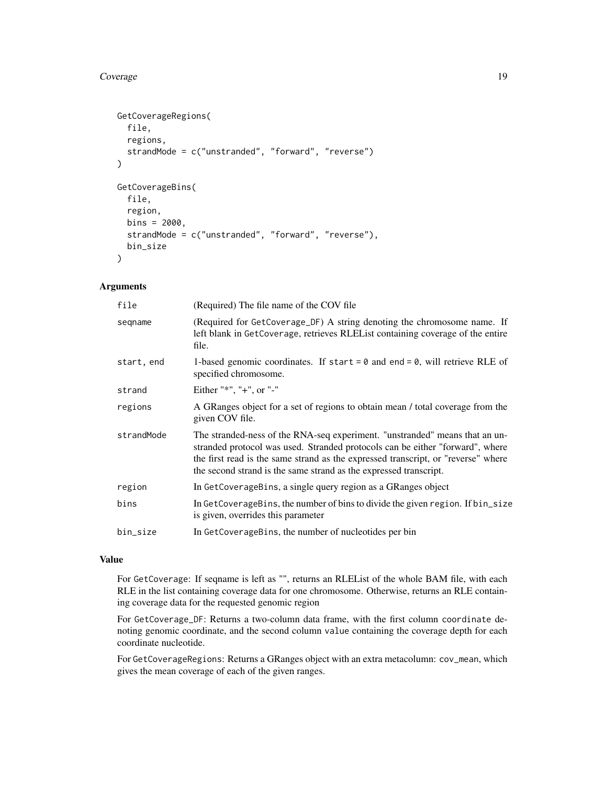#### Coverage 19

```
GetCoverageRegions(
  file,
  regions,
  strandMode = c("unstranded", "forward", "reverse")
\mathcal{E}GetCoverageBins(
  file,
  region,
 bins = 2000,strandMode = c("unstranded", "forward", "reverse"),
 bin_size
)
```
## Arguments

| file       | (Required) The file name of the COV file                                                                                                                                                                                                                                                                               |
|------------|------------------------------------------------------------------------------------------------------------------------------------------------------------------------------------------------------------------------------------------------------------------------------------------------------------------------|
| seqname    | (Required for GetCoverage_DF) A string denoting the chromosome name. If<br>left blank in GetCoverage, retrieves RLEL ist containing coverage of the entire<br>file.                                                                                                                                                    |
| start, end | 1-based genomic coordinates. If start = $\theta$ and end = $\theta$ , will retrieve RLE of<br>specified chromosome.                                                                                                                                                                                                    |
| strand     | Either "*", "+", or "-"                                                                                                                                                                                                                                                                                                |
| regions    | A GRanges object for a set of regions to obtain mean / total coverage from the<br>given COV file.                                                                                                                                                                                                                      |
| strandMode | The stranded-ness of the RNA-seq experiment. "unstranded" means that an un-<br>stranded protocol was used. Stranded protocols can be either "forward", where<br>the first read is the same strand as the expressed transcript, or "reverse" where<br>the second strand is the same strand as the expressed transcript. |
| region     | In GetCoverageBins, a single query region as a GRanges object                                                                                                                                                                                                                                                          |
| bins       | In GetCoverageBins, the number of bins to divide the given region. If bin_size<br>is given, overrides this parameter                                                                                                                                                                                                   |
| bin_size   | In GetCoverageBins, the number of nucleotides per bin                                                                                                                                                                                                                                                                  |
|            |                                                                                                                                                                                                                                                                                                                        |

## Value

For GetCoverage: If seqname is left as "", returns an RLEList of the whole BAM file, with each RLE in the list containing coverage data for one chromosome. Otherwise, returns an RLE containing coverage data for the requested genomic region

For GetCoverage\_DF: Returns a two-column data frame, with the first column coordinate denoting genomic coordinate, and the second column value containing the coverage depth for each coordinate nucleotide.

For GetCoverageRegions: Returns a GRanges object with an extra metacolumn: cov\_mean, which gives the mean coverage of each of the given ranges.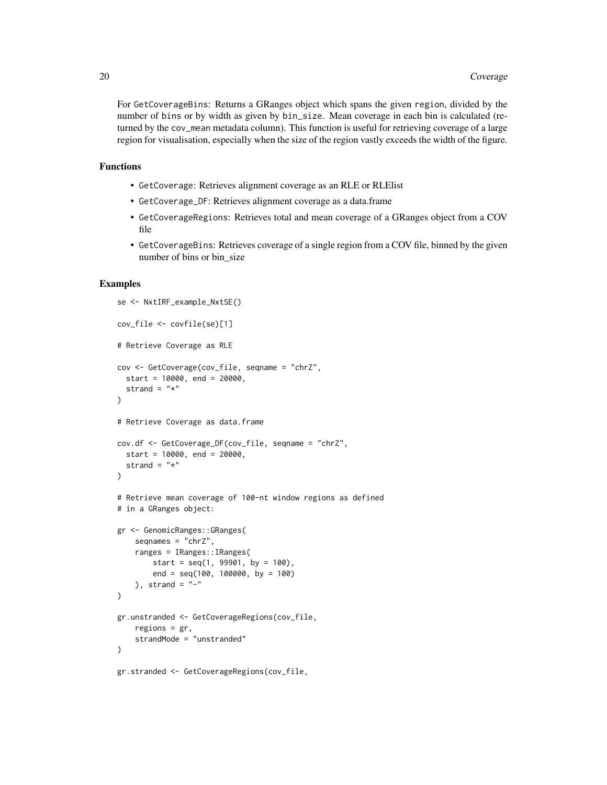For GetCoverageBins: Returns a GRanges object which spans the given region, divided by the number of bins or by width as given by bin\_size. Mean coverage in each bin is calculated (returned by the cov\_mean metadata column). This function is useful for retrieving coverage of a large region for visualisation, especially when the size of the region vastly exceeds the width of the figure.

#### Functions

- GetCoverage: Retrieves alignment coverage as an RLE or RLElist
- GetCoverage\_DF: Retrieves alignment coverage as a data.frame
- GetCoverageRegions: Retrieves total and mean coverage of a GRanges object from a COV file
- GetCoverageBins: Retrieves coverage of a single region from a COV file, binned by the given number of bins or bin\_size

## Examples

```
se <- NxtIRF_example_NxtSE()
cov_file <- covfile(se)[1]
# Retrieve Coverage as RLE
cov <- GetCoverage(cov_file, seqname = "chrZ",
  start = 10000, end = 20000,
  strand = "*"\lambda# Retrieve Coverage as data.frame
cov.df <- GetCoverage_DF(cov_file, seqname = "chrZ",
  start = 10000, end = 20000,
  strand = "*")
# Retrieve mean coverage of 100-nt window regions as defined
# in a GRanges object:
gr <- GenomicRanges::GRanges(
    seqnames = "chrZ",
    ranges = IRanges::IRanges(
        start = seq(1, 99901, by = 100),
        end = seq(100, 100000, by = 100)
    ), strand = "-"
)
gr.unstranded <- GetCoverageRegions(cov_file,
   regions = gr,
    strandMode = "unstranded"
)
gr.stranded <- GetCoverageRegions(cov_file,
```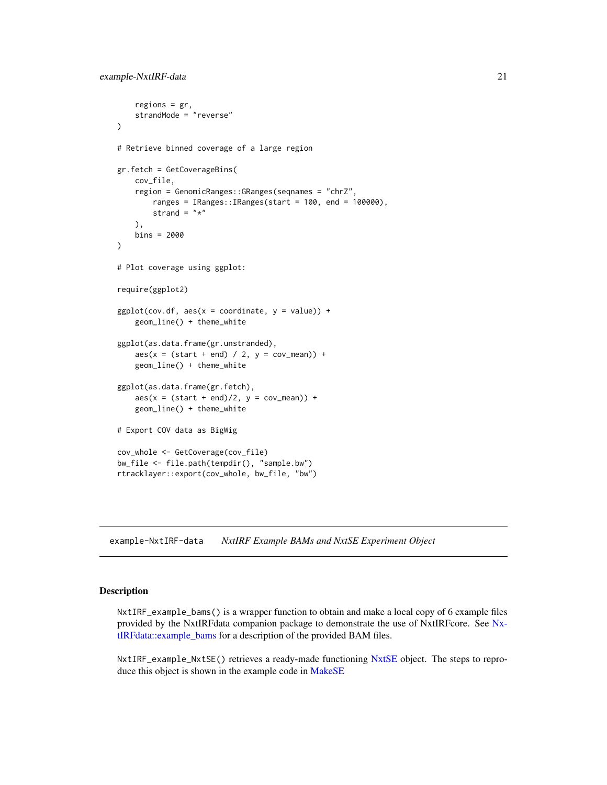```
regions = gr,
    strandMode = "reverse"
)
# Retrieve binned coverage of a large region
gr.fetch = GetCoverageBins(
   cov_file,
   region = GenomicRanges::GRanges(seqnames = "chrZ",
       ranges = IRanges::IRanges(start = 100, end = 100000),
       strand = "*"),
   bins = 2000
\lambda# Plot coverage using ggplot:
require(ggplot2)
ggplot(cov.df, aes(x = coordinate, y = value)) +geom_line() + theme_white
ggplot(as.data.frame(gr.unstranded),
    aes(x = (start + end) / 2, y = cov_mean) +
   geom_line() + theme_white
ggplot(as.data.frame(gr.fetch),
    aes(x = (start + end)/2, y = cov_mean) +
   geom_line() + theme_white
# Export COV data as BigWig
cov_whole <- GetCoverage(cov_file)
bw_file <- file.path(tempdir(), "sample.bw")
rtracklayer::export(cov_whole, bw_file, "bw")
```
example-NxtIRF-data *NxtIRF Example BAMs and NxtSE Experiment Object*

#### Description

NxtIRF\_example\_bams() is a wrapper function to obtain and make a local copy of 6 example files provided by the NxtIRFdata companion package to demonstrate the use of NxtIRFcore. See [Nx](#page-0-0)[tIRFdata::example\\_bams](#page-0-0) for a description of the provided BAM files.

NxtIRF\_example\_NxtSE() retrieves a ready-made functioning [NxtSE](#page-37-1) object. The steps to repro-duce this object is shown in the example code in [MakeSE](#page-27-1)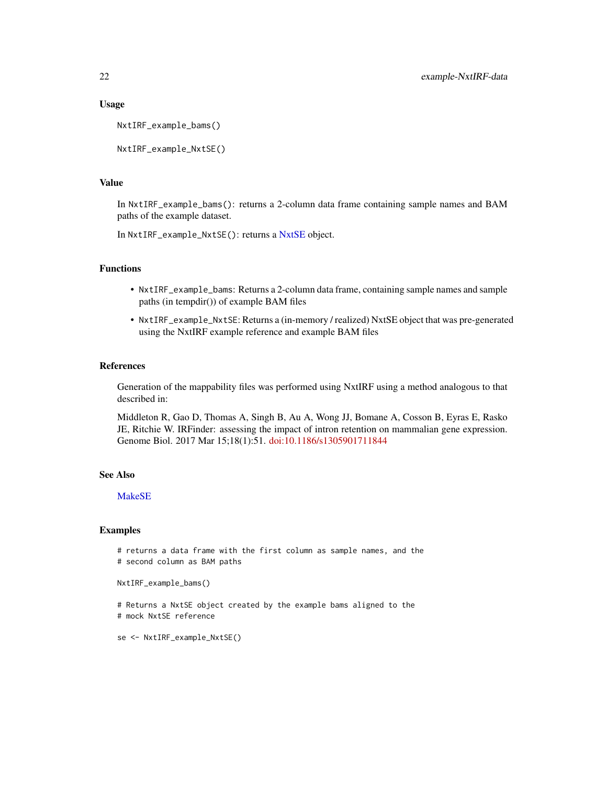#### Usage

```
NxtIRF_example_bams()
```

```
NxtIRF_example_NxtSE()
```
#### Value

In NxtIRF\_example\_bams(): returns a 2-column data frame containing sample names and BAM paths of the example dataset.

In NxtIRF\_example\_NxtSE(): returns a [NxtSE](#page-37-1) object.

## Functions

- NxtIRF\_example\_bams: Returns a 2-column data frame, containing sample names and sample paths (in tempdir()) of example BAM files
- NxtIRF\_example\_NxtSE: Returns a (in-memory / realized) NxtSE object that was pre-generated using the NxtIRF example reference and example BAM files

## References

Generation of the mappability files was performed using NxtIRF using a method analogous to that described in:

Middleton R, Gao D, Thomas A, Singh B, Au A, Wong JJ, Bomane A, Cosson B, Eyras E, Rasko JE, Ritchie W. IRFinder: assessing the impact of intron retention on mammalian gene expression. Genome Biol. 2017 Mar 15;18(1):51. [doi:10.1186/s1305901711844](https://doi.org/10.1186/s13059-017-1184-4)

#### See Also

## [MakeSE](#page-27-1)

## Examples

# returns a data frame with the first column as sample names, and the # second column as BAM paths

```
NxtIRF_example_bams()
```

```
# Returns a NxtSE object created by the example bams aligned to the
# mock NxtSE reference
```

```
se <- NxtIRF_example_NxtSE()
```
<span id="page-21-0"></span>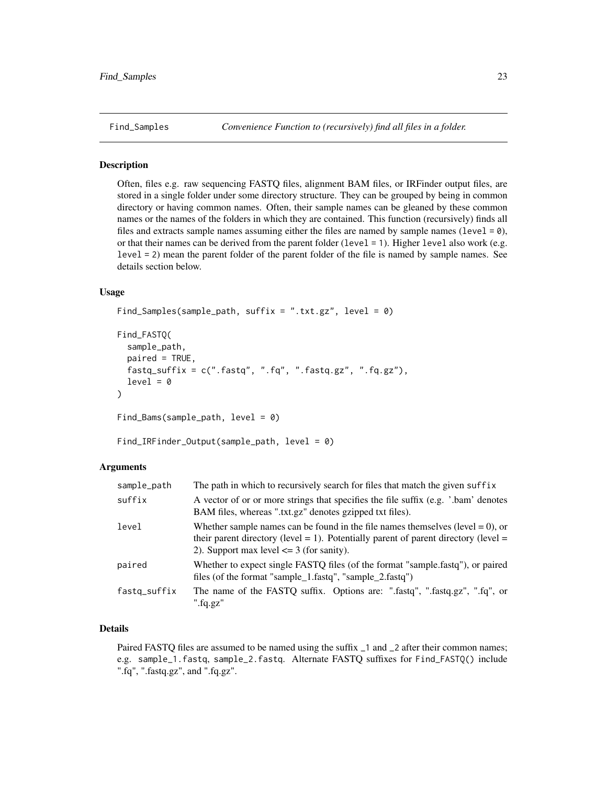#### <span id="page-22-2"></span><span id="page-22-1"></span><span id="page-22-0"></span>**Description**

Often, files e.g. raw sequencing FASTQ files, alignment BAM files, or IRFinder output files, are stored in a single folder under some directory structure. They can be grouped by being in common directory or having common names. Often, their sample names can be gleaned by these common names or the names of the folders in which they are contained. This function (recursively) finds all files and extracts sample names assuming either the files are named by sample names (level  $= 0$ ), or that their names can be derived from the parent folder (level  $= 1$ ). Higher level also work (e.g. level = 2) mean the parent folder of the parent folder of the file is named by sample names. See details section below.

#### Usage

```
Find_Samples(sample_path, suffix = ".txt.gz", level = 0)
```

```
Find_FASTQ(
  sample_path,
 paired = TRUE,
  fastq_suffix = c(".fastq", ".fq", ".fastq.gz", ".fq.gz"),
  level = 0)
```

```
Find_Bams(sample_path, level = 0)
```

```
Find_IRFinder_Output(sample_path, level = 0)
```
#### **Arguments**

| sample_path  | The path in which to recursively search for files that match the given suffix                                                                                                                                                 |
|--------------|-------------------------------------------------------------------------------------------------------------------------------------------------------------------------------------------------------------------------------|
| suffix       | A vector of or or more strings that specifies the file suffix (e.g. '.bam' denotes<br>BAM files, whereas ".txt.gz" denotes gzipped txt files).                                                                                |
| level        | Whether sample names can be found in the file names themselves (level $= 0$ ), or<br>their parent directory (level $= 1$ ). Potentially parent of parent directory (level $=$<br>2). Support max level $\leq$ 3 (for sanity). |
| paired       | Whether to expect single FASTQ files (of the format "sample.fastq"), or paired<br>files (of the format "sample_1.fastq", "sample_2.fastq")                                                                                    |
| fastq_suffix | The name of the FASTQ suffix. Options are: ".fastq", ".fastq.gz", ".fq", or<br>".fq.gz"                                                                                                                                       |

## Details

Paired FASTQ files are assumed to be named using the suffix  $\Box$  1 and  $\Box$  2 after their common names; e.g. sample\_1.fastq, sample\_2.fastq. Alternate FASTQ suffixes for Find\_FASTQ() include ".fq", ".fastq.gz", and ".fq.gz".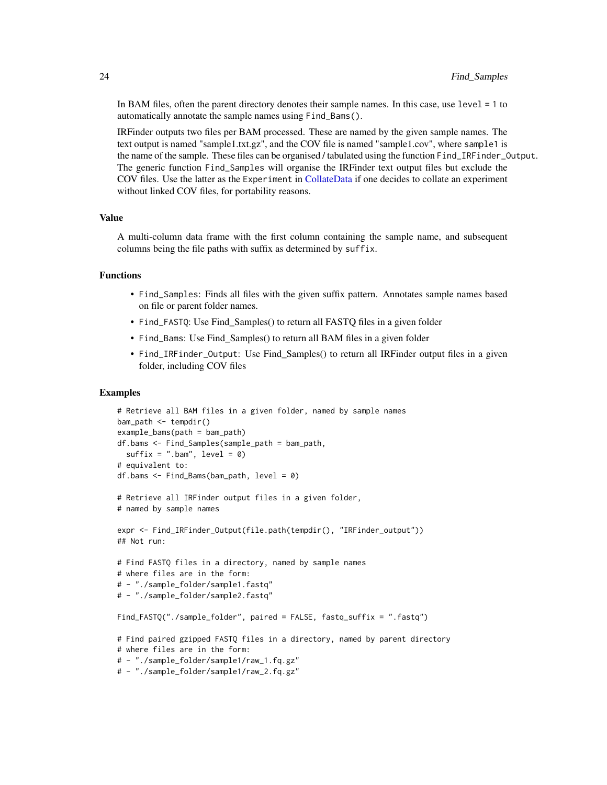<span id="page-23-0"></span>In BAM files, often the parent directory denotes their sample names. In this case, use level = 1 to automatically annotate the sample names using Find\_Bams().

IRFinder outputs two files per BAM processed. These are named by the given sample names. The text output is named "sample1.txt.gz", and the COV file is named "sample1.cov", where sample1 is the name of the sample. These files can be organised / tabulated using the function Find\_IRFinder\_Output. The generic function Find\_Samples will organise the IRFinder text output files but exclude the COV files. Use the latter as the Experiment in [CollateData](#page-14-1) if one decides to collate an experiment without linked COV files, for portability reasons.

## Value

A multi-column data frame with the first column containing the sample name, and subsequent columns being the file paths with suffix as determined by suffix.

#### Functions

- Find\_Samples: Finds all files with the given suffix pattern. Annotates sample names based on file or parent folder names.
- Find\_FASTQ: Use Find\_Samples() to return all FASTQ files in a given folder
- Find\_Bams: Use Find\_Samples() to return all BAM files in a given folder
- Find\_IRFinder\_Output: Use Find\_Samples() to return all IRFinder output files in a given folder, including COV files

#### Examples

```
# Retrieve all BAM files in a given folder, named by sample names
bam_path <- tempdir()
example_bams(path = bam_path)
df.bams <- Find_Samples(sample_path = bam_path,
 sufficient = ".bam", level = 0)# equivalent to:
df.bams \le Find_Bams(bam_path, level = 0)
# Retrieve all IRFinder output files in a given folder,
# named by sample names
expr <- Find_IRFinder_Output(file.path(tempdir(), "IRFinder_output"))
## Not run:
# Find FASTQ files in a directory, named by sample names
# where files are in the form:
# - "./sample_folder/sample1.fastq"
# - "./sample_folder/sample2.fastq"
Find_FASTQ("./sample_folder", paired = FALSE, fastq_suffix = ".fastq")
# Find paired gzipped FASTQ files in a directory, named by parent directory
# where files are in the form:
# - "./sample_folder/sample1/raw_1.fq.gz"
# - "./sample_folder/sample1/raw_2.fq.gz"
```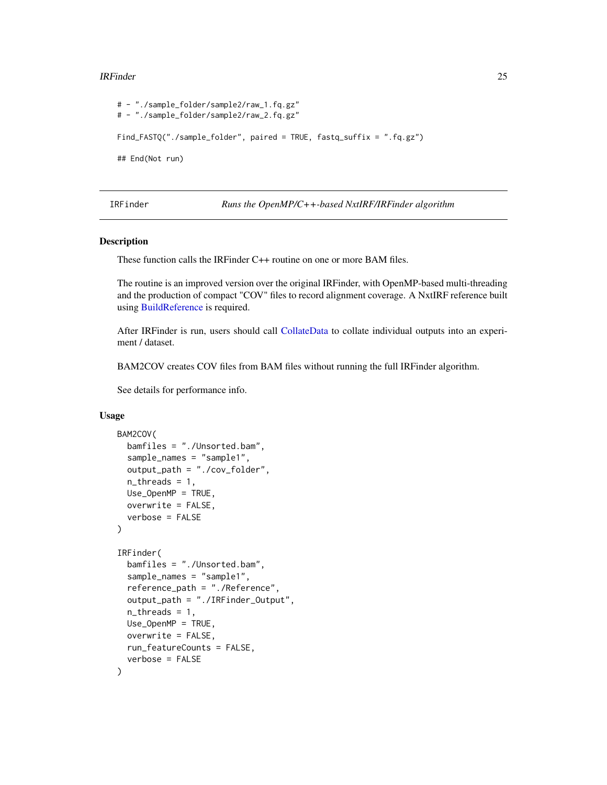#### <span id="page-24-0"></span>IRFinder 25

```
# - "./sample_folder/sample2/raw_1.fq.gz"
# - "./sample_folder/sample2/raw_2.fq.gz"
Find_FASTQ("./sample_folder", paired = TRUE, fastq_suffix = ".fq.gz")
## End(Not run)
```
<span id="page-24-1"></span>IRFinder *Runs the OpenMP/C++-based NxtIRF/IRFinder algorithm*

## <span id="page-24-2"></span>**Description**

These function calls the IRFinder C++ routine on one or more BAM files.

The routine is an improved version over the original IRFinder, with OpenMP-based multi-threading and the production of compact "COV" files to record alignment coverage. A NxtIRF reference built using [BuildReference](#page-8-1) is required.

After IRFinder is run, users should call [CollateData](#page-14-1) to collate individual outputs into an experiment / dataset.

BAM2COV creates COV files from BAM files without running the full IRFinder algorithm.

See details for performance info.

## Usage

```
BAM2COV(
  bamfiles = "./Unsorted.bam",
  sample_names = "sample1",
  output_path = "./cov_folder",
  n_threads = 1,
 Use_OpenMP = TRUE,
  overwrite = FALSE,
  verbose = FALSE
)
IRFinder(
  bamfiles = "./Unsorted.bam",
  sample_names = "sample1",
  reference_path = "./Reference",
  output_path = "./IRFinder_Output",
  n_{th}reads = 1,
 Use_OpenMP = TRUE,
  overwrite = FALSE,
  run_featureCounts = FALSE,
  verbose = FALSE
)
```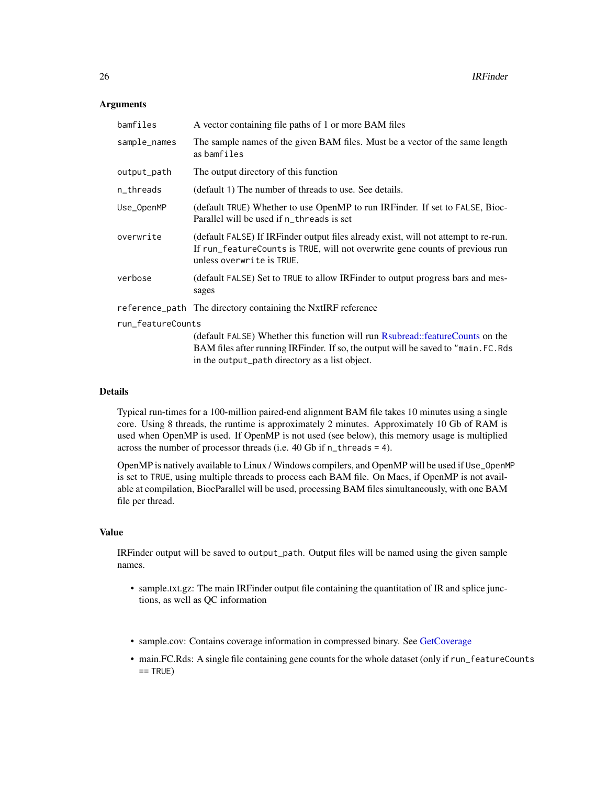#### <span id="page-25-0"></span>Arguments

| bamfiles          | A vector containing file paths of 1 or more BAM files                                                                                                                                            |
|-------------------|--------------------------------------------------------------------------------------------------------------------------------------------------------------------------------------------------|
| sample_names      | The sample names of the given BAM files. Must be a vector of the same length<br>as bamfiles                                                                                                      |
| output_path       | The output directory of this function                                                                                                                                                            |
| n_threads         | (default 1) The number of threads to use. See details.                                                                                                                                           |
| Use_OpenMP        | (default TRUE) Whether to use OpenMP to run IRFinder. If set to FALSE, Bioc-<br>Parallel will be used if n_threads is set                                                                        |
| overwrite         | (default FALSE) If IRFinder output files already exist, will not attempt to re-run.<br>If run_featureCounts is TRUE, will not overwrite gene counts of previous run<br>unless overwrite is TRUE. |
| verbose           | (default FALSE) Set to TRUE to allow IRFinder to output progress bars and mes-<br>sages                                                                                                          |
|                   | reference_path The directory containing the NxtIRF reference                                                                                                                                     |
| run_featureCounts |                                                                                                                                                                                                  |
|                   | (default FALSE) Whether this function will run Rsubread::featureCounts on the<br>BAM files after running IRFinder. If so, the output will be saved to "main. FC. Rds                             |

#### Details

Typical run-times for a 100-million paired-end alignment BAM file takes 10 minutes using a single core. Using 8 threads, the runtime is approximately 2 minutes. Approximately 10 Gb of RAM is used when OpenMP is used. If OpenMP is not used (see below), this memory usage is multiplied across the number of processor threads (i.e. 40 Gb if n\_threads = 4).

in the output\_path directory as a list object.

OpenMP is natively available to Linux / Windows compilers, and OpenMP will be used if Use\_OpenMP is set to TRUE, using multiple threads to process each BAM file. On Macs, if OpenMP is not available at compilation, BiocParallel will be used, processing BAM files simultaneously, with one BAM file per thread.

#### Value

IRFinder output will be saved to output\_path. Output files will be named using the given sample names.

- sample.txt.gz: The main IRFinder output file containing the quantitation of IR and splice junctions, as well as QC information
- sample.cov: Contains coverage information in compressed binary. See [GetCoverage](#page-17-1)
- main.FC.Rds: A single file containing gene counts for the whole dataset (only if run\_featureCounts  $==$  TRUE)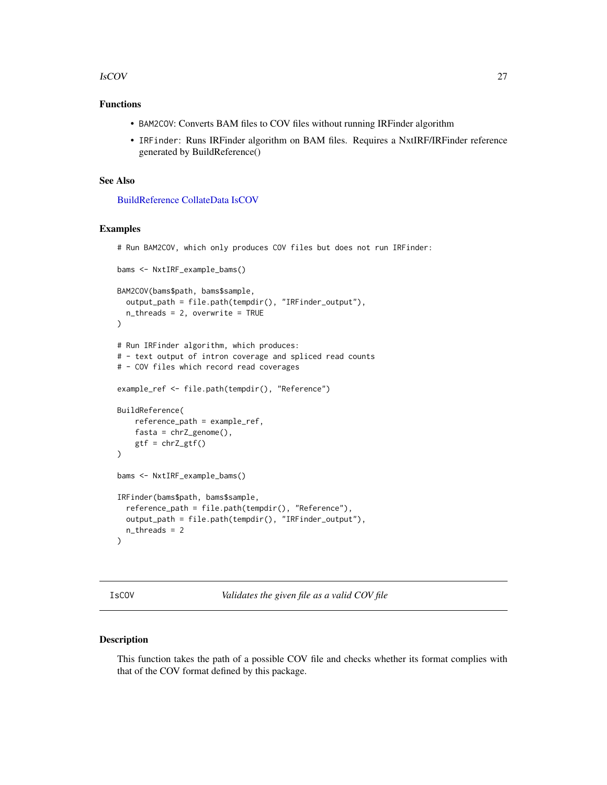#### <span id="page-26-0"></span>IsCOV 27

## Functions

- BAM2COV: Converts BAM files to COV files without running IRFinder algorithm
- IRFinder: Runs IRFinder algorithm on BAM files. Requires a NxtIRF/IRFinder reference generated by BuildReference()

## See Also

[BuildReference](#page-8-1) [CollateData](#page-14-1) [IsCOV](#page-26-1)

## Examples

# Run BAM2COV, which only produces COV files but does not run IRFinder:

```
bams <- NxtIRF_example_bams()
BAM2COV(bams$path, bams$sample,
  output_path = file.path(tempdir(), "IRFinder_output"),
  n_threads = 2, overwrite = TRUE
)
# Run IRFinder algorithm, which produces:
# - text output of intron coverage and spliced read counts
# - COV files which record read coverages
example_ref <- file.path(tempdir(), "Reference")
BuildReference(
   reference_path = example_ref,
    fasta = chrZ\_genome(),
   gtf = chrZ_gtf()\mathcal{L}bams <- NxtIRF_example_bams()
IRFinder(bams$path, bams$sample,
  reference_path = file.path(tempdir(), "Reference"),
  output_path = file.path(tempdir(), "IRFinder_output"),
  n_threads = 2
)
```
<span id="page-26-1"></span>IsCOV *Validates the given file as a valid COV file*

#### Description

This function takes the path of a possible COV file and checks whether its format complies with that of the COV format defined by this package.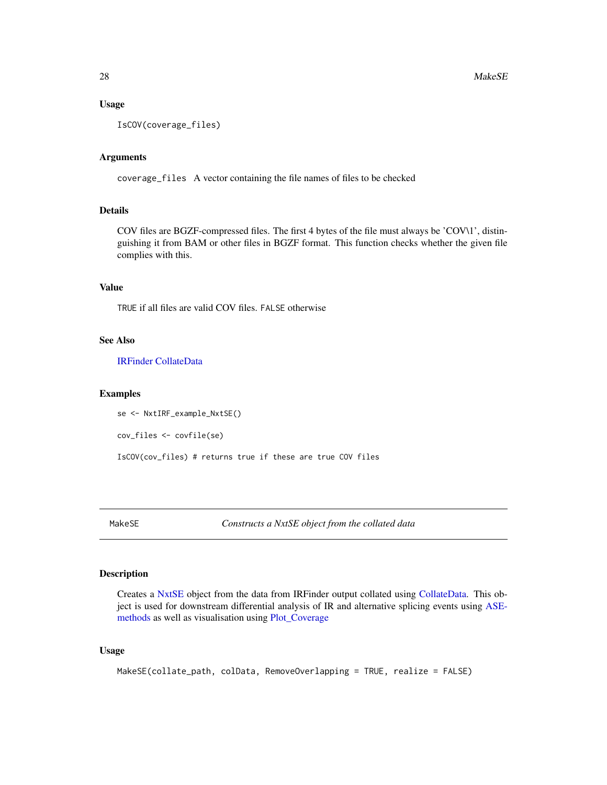#### Usage

IsCOV(coverage\_files)

## Arguments

coverage\_files A vector containing the file names of files to be checked

## **Details**

COV files are BGZF-compressed files. The first 4 bytes of the file must always be 'COV\1', distinguishing it from BAM or other files in BGZF format. This function checks whether the given file complies with this.

#### Value

TRUE if all files are valid COV files. FALSE otherwise

#### See Also

[IRFinder](#page-24-1) [CollateData](#page-14-1)

#### Examples

```
se <- NxtIRF_example_NxtSE()
```
cov\_files <- covfile(se)

IsCOV(cov\_files) # returns true if these are true COV files

<span id="page-27-1"></span>MakeSE *Constructs a NxtSE object from the collated data*

## Description

Creates a [NxtSE](#page-37-1) object from the data from IRFinder output collated using [CollateData.](#page-14-1) This object is used for downstream differential analysis of IR and alternative splicing events using [ASE](#page-4-1)[methods](#page-4-1) as well as visualisation using [Plot\\_Coverage](#page-41-1)

#### Usage

```
MakeSE(collate_path, colData, RemoveOverlapping = TRUE, realize = FALSE)
```
<span id="page-27-0"></span>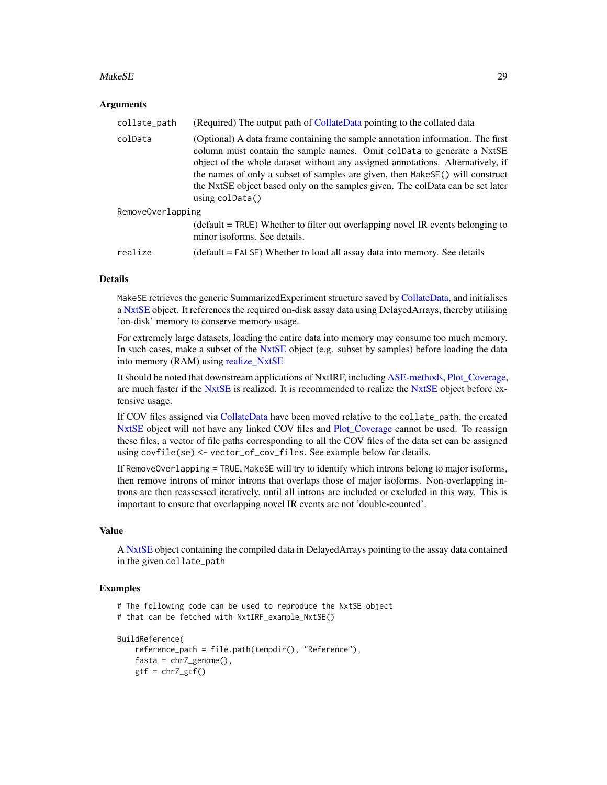#### <span id="page-28-0"></span>MakeSE 29

## Arguments

| collate_path      | (Required) The output path of CollateData pointing to the collated data                                                                                                                                                                                                                                                                                                                                                                     |
|-------------------|---------------------------------------------------------------------------------------------------------------------------------------------------------------------------------------------------------------------------------------------------------------------------------------------------------------------------------------------------------------------------------------------------------------------------------------------|
| colData           | (Optional) A data frame containing the sample annotation information. The first<br>column must contain the sample names. Omit coldata to generate a NxtSE<br>object of the whole dataset without any assigned annotations. Alternatively, if<br>the names of only a subset of samples are given, then MakeSE() will construct<br>the NxtSE object based only on the samples given. The colData can be set later<br>using $\text{colData}()$ |
| RemoveOverlapping |                                                                                                                                                                                                                                                                                                                                                                                                                                             |
|                   | $\Delta$ (default = TRUE) Whether to filter out overlapping novel IR events belonging to<br>minor isoforms. See details.                                                                                                                                                                                                                                                                                                                    |
| realize           | (default = FALSE) Whether to load all assay data into memory. See details                                                                                                                                                                                                                                                                                                                                                                   |

## Details

MakeSE retrieves the generic SummarizedExperiment structure saved by [CollateData,](#page-14-1) and initialises a [NxtSE](#page-37-1) object. It references the required on-disk assay data using DelayedArrays, thereby utilising 'on-disk' memory to conserve memory usage.

For extremely large datasets, loading the entire data into memory may consume too much memory. In such cases, make a subset of the [NxtSE](#page-37-1) object (e.g. subset by samples) before loading the data into memory (RAM) using [realize\\_NxtSE](#page-37-2)

It should be noted that downstream applications of NxtIRF, including [ASE-methods,](#page-4-1) [Plot\\_Coverage,](#page-41-1) are much faster if the [NxtSE](#page-37-1) is realized. It is recommended to realize the NxtSE object before extensive usage.

If COV files assigned via [CollateData](#page-14-1) have been moved relative to the collate\_path, the created [NxtSE](#page-37-1) object will not have any linked COV files and Plot Coverage cannot be used. To reassign these files, a vector of file paths corresponding to all the COV files of the data set can be assigned using covfile(se) <- vector\_of\_cov\_files. See example below for details.

If RemoveOverlapping = TRUE, MakeSE will try to identify which introns belong to major isoforms, then remove introns of minor introns that overlaps those of major isoforms. Non-overlapping introns are then reassessed iteratively, until all introns are included or excluded in this way. This is important to ensure that overlapping novel IR events are not 'double-counted'.

## Value

A [NxtSE](#page-37-1) object containing the compiled data in DelayedArrays pointing to the assay data contained in the given collate\_path

#### Examples

```
# The following code can be used to reproduce the NxtSE object
```

```
# that can be fetched with NxtIRF_example_NxtSE()
```

```
BuildReference(
```

```
reference_path = file.path(tempdir(), "Reference"),
fasta = chrZ\_genome(),
gtf = chrZ_gtf()
```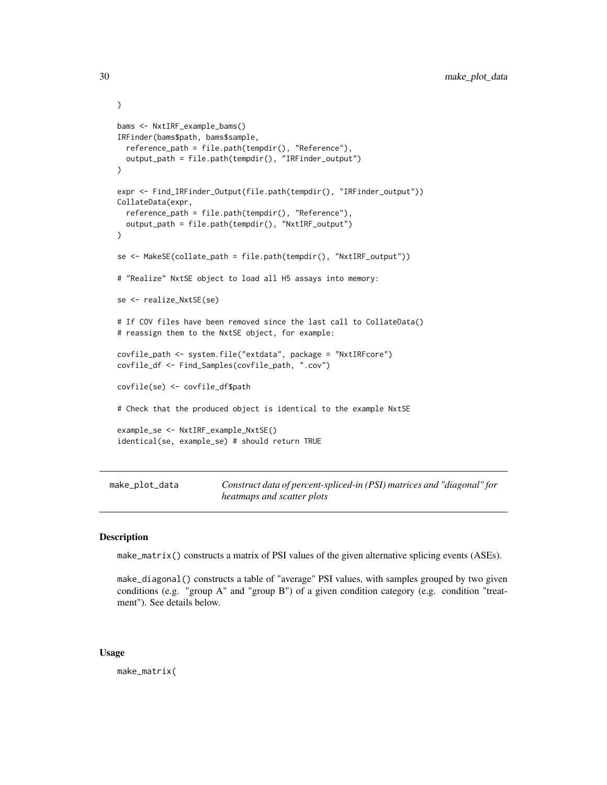```
)
bams <- NxtIRF_example_bams()
IRFinder(bams$path, bams$sample,
  reference_path = file.path(tempdir(), "Reference"),
  output_path = file.path(tempdir(), "IRFinder_output")
)
expr <- Find_IRFinder_Output(file.path(tempdir(), "IRFinder_output"))
CollateData(expr,
  reference_path = file.path(tempdir(), "Reference"),
  output_path = file.path(tempdir(), "NxtIRF_output")
)
se <- MakeSE(collate_path = file.path(tempdir(), "NxtIRF_output"))
# "Realize" NxtSE object to load all H5 assays into memory:
se <- realize_NxtSE(se)
# If COV files have been removed since the last call to CollateData()
# reassign them to the NxtSE object, for example:
covfile_path <- system.file("extdata", package = "NxtIRFcore")
covfile_df <- Find_Samples(covfile_path, ".cov")
covfile(se) <- covfile_df$path
# Check that the produced object is identical to the example NxtSE
example_se <- NxtIRF_example_NxtSE()
identical(se, example_se) # should return TRUE
```

```
make_plot_data Construct data of percent-spliced-in (PSI) matrices and "diagonal" for
                         heatmaps and scatter plots
```
#### <span id="page-29-2"></span>Description

make\_matrix() constructs a matrix of PSI values of the given alternative splicing events (ASEs).

make\_diagonal() constructs a table of "average" PSI values, with samples grouped by two given conditions (e.g. "group A" and "group B") of a given condition category (e.g. condition "treatment"). See details below.

#### Usage

make\_matrix(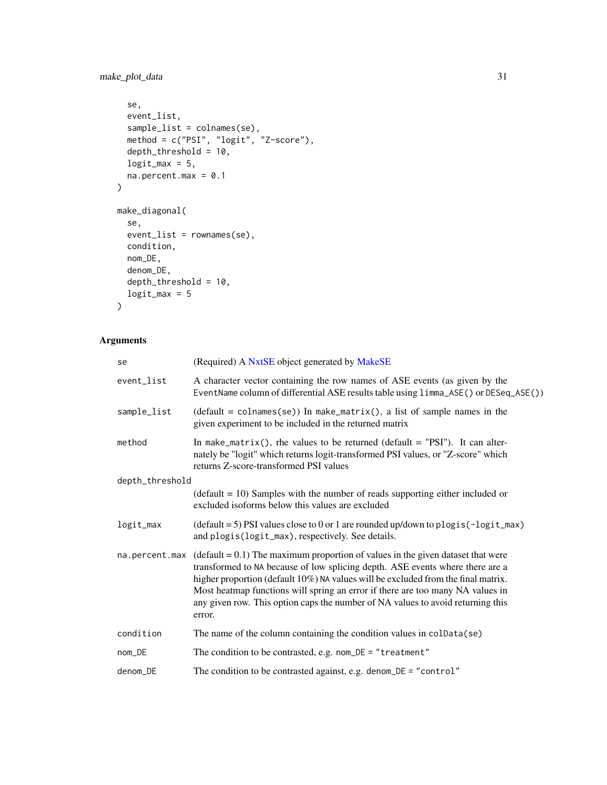<span id="page-30-0"></span>make\_plot\_data 31

```
se,
 event_list,
 sample_list = colnames(se),
 method = c("PSI", "logit", "Z-score"),
 depth_threshold = 10,
 logit\_max = 5,
 na.percent.max = 0.1\mathcal{L}make_diagonal(
  se,
 event_list = rownames(se),
 condition,
 nom_DE,
 denom_DE,
  depth_threshold = 10,
 logit\_max = 5\mathcal{L}
```
## Arguments

| se              | (Required) A NxtSE object generated by MakeSE                                                                                                                                                                                                                                                                                                                                                                                          |
|-----------------|----------------------------------------------------------------------------------------------------------------------------------------------------------------------------------------------------------------------------------------------------------------------------------------------------------------------------------------------------------------------------------------------------------------------------------------|
| event_list      | A character vector containing the row names of ASE events (as given by the<br>EventName column of differential ASE results table using limma_ASE() or DESeq_ASE())                                                                                                                                                                                                                                                                     |
| sample_list     | $(default = colnames(se))$ In make_matrix(), a list of sample names in the<br>given experiment to be included in the returned matrix                                                                                                                                                                                                                                                                                                   |
| method          | In make_matrix(), rhe values to be returned (default = "PSI"). It can alter-<br>nately be "logit" which returns logit-transformed PSI values, or "Z-score" which<br>returns Z-score-transformed PSI values                                                                                                                                                                                                                             |
| depth_threshold |                                                                                                                                                                                                                                                                                                                                                                                                                                        |
|                 | $(default = 10)$ Samples with the number of reads supporting either included or<br>excluded isoforms below this values are excluded                                                                                                                                                                                                                                                                                                    |
| logit_max       | $(\text{default} = 5)$ PSI values close to 0 or 1 are rounded up/down to plogis (-logit_max)<br>and plogis(logit_max), respectively. See details.                                                                                                                                                                                                                                                                                      |
| na.percent.max  | $(detault = 0.1)$ The maximum proportion of values in the given dataset that were<br>transformed to NA because of low splicing depth. ASE events where there are a<br>higher proportion (default 10%) NA values will be excluded from the final matrix.<br>Most heatmap functions will spring an error if there are too many NA values in<br>any given row. This option caps the number of NA values to avoid returning this<br>error. |
| condition       | The name of the column containing the condition values in colData(se)                                                                                                                                                                                                                                                                                                                                                                  |
| nom_DE          | The condition to be contrasted, e.g. $nom$ DE = "treatment"                                                                                                                                                                                                                                                                                                                                                                            |
| denom_DE        | The condition to be contrasted against, e.g. denom_DE = "control"                                                                                                                                                                                                                                                                                                                                                                      |
|                 |                                                                                                                                                                                                                                                                                                                                                                                                                                        |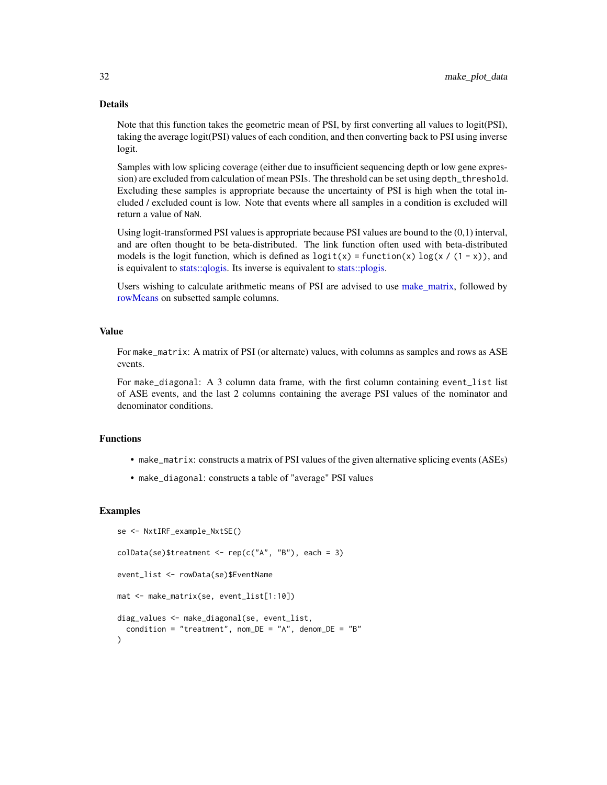#### Details

Note that this function takes the geometric mean of PSI, by first converting all values to logit(PSI), taking the average logit(PSI) values of each condition, and then converting back to PSI using inverse logit.

Samples with low splicing coverage (either due to insufficient sequencing depth or low gene expression) are excluded from calculation of mean PSIs. The threshold can be set using depth\_threshold. Excluding these samples is appropriate because the uncertainty of PSI is high when the total included / excluded count is low. Note that events where all samples in a condition is excluded will return a value of NaN.

Using logit-transformed PSI values is appropriate because PSI values are bound to the (0,1) interval, and are often thought to be beta-distributed. The link function often used with beta-distributed models is the logit function, which is defined as  $logit(x) = function(x) log(x / (1 - x))$ , and is equivalent to [stats::qlogis.](#page-0-0) Its inverse is equivalent to [stats::plogis.](#page-0-0)

Users wishing to calculate arithmetic means of PSI are advised to use [make\\_matrix,](#page-29-2) followed by [rowMeans](#page-0-0) on subsetted sample columns.

#### Value

For make\_matrix: A matrix of PSI (or alternate) values, with columns as samples and rows as ASE events.

For make\_diagonal: A 3 column data frame, with the first column containing event\_list list of ASE events, and the last 2 columns containing the average PSI values of the nominator and denominator conditions.

#### Functions

- make\_matrix: constructs a matrix of PSI values of the given alternative splicing events (ASEs)
- make\_diagonal: constructs a table of "average" PSI values

#### Examples

```
se <- NxtIRF_example_NxtSE()
collData(se)$treatment <- rep(c("A", "B"), each = 3)event_list <- rowData(se)$EventName
mat <- make_matrix(se, event_list[1:10])
diag_values <- make_diagonal(se, event_list,
 condition = "treatment", nom_DE = "A", denom_DE = "B"
)
```
<span id="page-31-0"></span>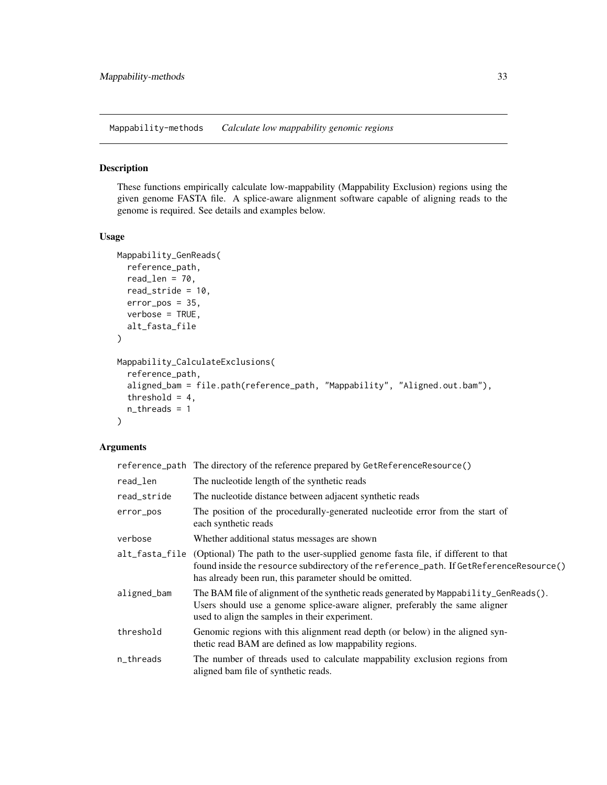<span id="page-32-2"></span><span id="page-32-0"></span>Mappability-methods *Calculate low mappability genomic regions*

## <span id="page-32-1"></span>Description

These functions empirically calculate low-mappability (Mappability Exclusion) regions using the given genome FASTA file. A splice-aware alignment software capable of aligning reads to the genome is required. See details and examples below.

## Usage

```
Mappability_GenReads(
  reference_path,
  read_len = 70,
  read_stride = 10,
  error_pos = 35,
  verbose = TRUE,
  alt_fasta_file
)
Mappability_CalculateExclusions(
  reference_path,
  aligned_bam = file.path(reference_path, "Mappability", "Aligned.out.bam"),
  threshold = 4,
  n_threads = 1
)
```
## Arguments

|             | reference_path The directory of the reference prepared by GetReferenceResource()                                                                                                                                                                      |
|-------------|-------------------------------------------------------------------------------------------------------------------------------------------------------------------------------------------------------------------------------------------------------|
| read_len    | The nucleotide length of the synthetic reads                                                                                                                                                                                                          |
| read_stride | The nucleotide distance between adjacent synthetic reads                                                                                                                                                                                              |
| error_pos   | The position of the procedurally-generated nucleotide error from the start of<br>each synthetic reads                                                                                                                                                 |
| verbose     | Whether additional status messages are shown                                                                                                                                                                                                          |
|             | alt_fasta_file (Optional) The path to the user-supplied genome fasta file, if different to that<br>found inside the resource subdirectory of the reference_path. If GetReferenceResource()<br>has already been run, this parameter should be omitted. |
| aligned_bam | The BAM file of alignment of the synthetic reads generated by Mappability_GenReads().<br>Users should use a genome splice-aware aligner, preferably the same aligner<br>used to align the samples in their experiment.                                |
| threshold   | Genomic regions with this alignment read depth (or below) in the aligned syn-<br>thetic read BAM are defined as low mappability regions.                                                                                                              |
| n_threads   | The number of threads used to calculate mappability exclusion regions from<br>aligned bam file of synthetic reads.                                                                                                                                    |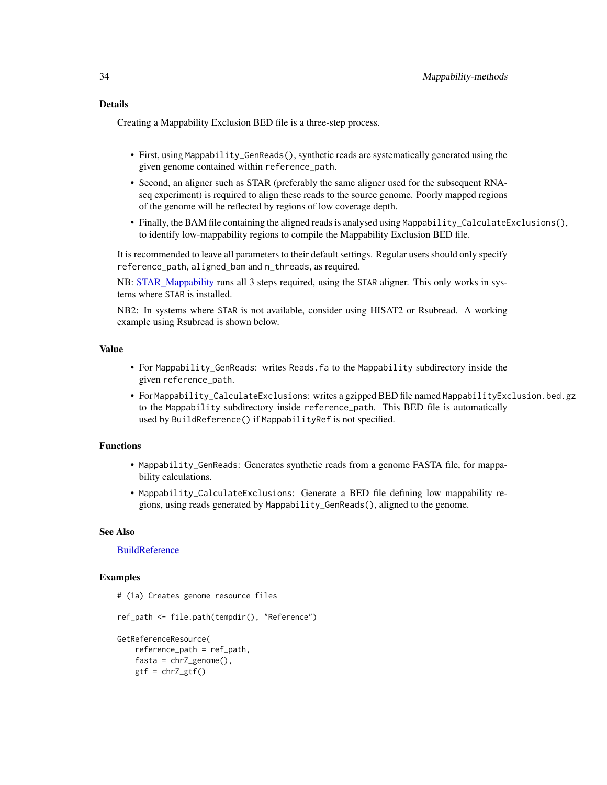<span id="page-33-0"></span>Creating a Mappability Exclusion BED file is a three-step process.

- First, using Mappability\_GenReads(), synthetic reads are systematically generated using the given genome contained within reference\_path.
- Second, an aligner such as STAR (preferably the same aligner used for the subsequent RNAseq experiment) is required to align these reads to the source genome. Poorly mapped regions of the genome will be reflected by regions of low coverage depth.
- Finally, the BAM file containing the aligned reads is analysed using Mappability\_CalculateExclusions(), to identify low-mappability regions to compile the Mappability Exclusion BED file.

It is recommended to leave all parameters to their default settings. Regular users should only specify reference\_path, aligned\_bam and n\_threads, as required.

NB: [STAR\\_Mappability](#page-47-2) runs all 3 steps required, using the STAR aligner. This only works in systems where STAR is installed.

NB2: In systems where STAR is not available, consider using HISAT2 or Rsubread. A working example using Rsubread is shown below.

## Value

- For Mappability\_GenReads: writes Reads.fa to the Mappability subdirectory inside the given reference\_path.
- For Mappability\_CalculateExclusions: writes a gzipped BED file named MappabilityExclusion.bed.gz to the Mappability subdirectory inside reference\_path. This BED file is automatically used by BuildReference() if MappabilityRef is not specified.

## Functions

- Mappability\_GenReads: Generates synthetic reads from a genome FASTA file, for mappability calculations.
- Mappability\_CalculateExclusions: Generate a BED file defining low mappability regions, using reads generated by Mappability\_GenReads(), aligned to the genome.

#### See Also

## **[BuildReference](#page-8-1)**

## Examples

```
# (1a) Creates genome resource files
ref_path <- file.path(tempdir(), "Reference")
GetReferenceResource(
   reference_path = ref_path,
   fasta = chrZ\_genome(),
   gtf = chrZ_gtf()
```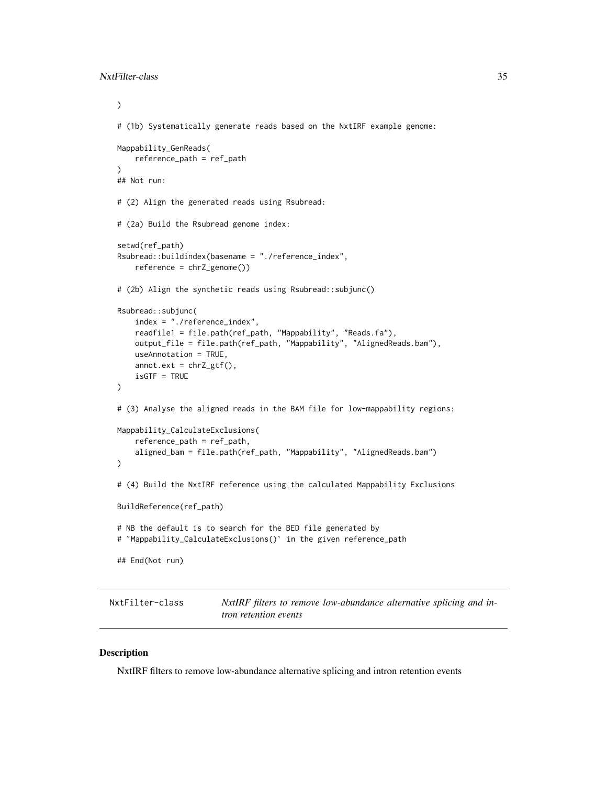```
)
# (1b) Systematically generate reads based on the NxtIRF example genome:
Mappability_GenReads(
   reference_path = ref_path
)
## Not run:
# (2) Align the generated reads using Rsubread:
# (2a) Build the Rsubread genome index:
setwd(ref_path)
Rsubread::buildindex(basename = "./reference_index",
    reference = chrZ_genome())
# (2b) Align the synthetic reads using Rsubread::subjunc()
Rsubread::subjunc(
    index = "./reference_index",
    readfile1 = file.path(ref_path, "Mappability", "Reads.fa"),
    output_file = file.path(ref_path, "Mappability", "AlignedReads.bam"),
   useAnnotation = TRUE,
    annot.ext = chrZ_gtf(),
    isGTF = TRUE
)
# (3) Analyse the aligned reads in the BAM file for low-mappability regions:
Mappability_CalculateExclusions(
    reference_path = ref_path,
    aligned_bam = file.path(ref_path, "Mappability", "AlignedReads.bam")
)
# (4) Build the NxtIRF reference using the calculated Mappability Exclusions
BuildReference(ref_path)
# NB the default is to search for the BED file generated by
# `Mappability_CalculateExclusions()` in the given reference_path
## End(Not run)
```
<span id="page-34-2"></span>NxtFilter-class *NxtIRF filters to remove low-abundance alternative splicing and intron retention events*

## <span id="page-34-1"></span>**Description**

NxtIRF filters to remove low-abundance alternative splicing and intron retention events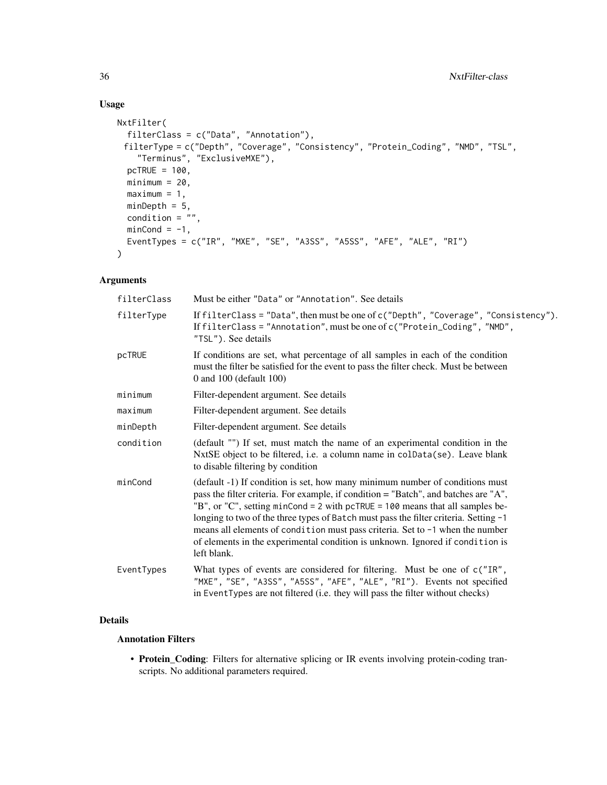## Usage

```
NxtFilter(
 filterClass = c("Data", "Annotation"),
 filterType = c("Depth", "Coverage", "Consistency", "Protein_Coding", "NMD", "TSL",
    "Terminus", "ExclusiveMXE"),
 pcTRUE = 100,
 minimum = 20,maximum = 1,
 minDepth = 5,
 condition = ",
 minCond = -1,EventTypes = c("IR", "MXE", "SE", "A3SS", "A5SS", "AFE", "ALE", "RI")
\mathcal{L}
```
## Arguments

| filterClass | Must be either "Data" or "Annotation". See details                                                                                                                                                                                                                                                                                                                                                                                                                                                                            |
|-------------|-------------------------------------------------------------------------------------------------------------------------------------------------------------------------------------------------------------------------------------------------------------------------------------------------------------------------------------------------------------------------------------------------------------------------------------------------------------------------------------------------------------------------------|
| filterType  | If filterClass = "Data", then must be one of $c$ ("Depth", "Coverage", "Consistency").<br>If filterClass = "Annotation", must be one of c("Protein_Coding", "NMD",<br>"TSL"). See details                                                                                                                                                                                                                                                                                                                                     |
| pcTRUE      | If conditions are set, what percentage of all samples in each of the condition<br>must the filter be satisfied for the event to pass the filter check. Must be between<br>0 and 100 (default 100)                                                                                                                                                                                                                                                                                                                             |
| minimum     | Filter-dependent argument. See details                                                                                                                                                                                                                                                                                                                                                                                                                                                                                        |
| maximum     | Filter-dependent argument. See details                                                                                                                                                                                                                                                                                                                                                                                                                                                                                        |
| minDepth    | Filter-dependent argument. See details                                                                                                                                                                                                                                                                                                                                                                                                                                                                                        |
| condition   | (default "") If set, must match the name of an experimental condition in the<br>NxtSE object to be filtered, i.e. a column name in colData(se). Leave blank<br>to disable filtering by condition                                                                                                                                                                                                                                                                                                                              |
| minCond     | (default -1) If condition is set, how many minimum number of conditions must<br>pass the filter criteria. For example, if condition = "Batch", and batches are "A",<br>"B", or "C", setting minCond = 2 with pcTRUE = 100 means that all samples be-<br>longing to two of the three types of Batch must pass the filter criteria. Setting -1<br>means all elements of condition must pass criteria. Set to -1 when the number<br>of elements in the experimental condition is unknown. Ignored if condition is<br>left blank. |
| EventTypes  | What types of events are considered for filtering. Must be one of c("IR",<br>"MXE", "SE", "A3SS", "A5SS", "AFE", "ALE", "RI"). Events not specified<br>in EventTypes are not filtered (i.e. they will pass the filter without checks)                                                                                                                                                                                                                                                                                         |

## Details

## Annotation Filters

• Protein\_Coding: Filters for alternative splicing or IR events involving protein-coding transcripts. No additional parameters required.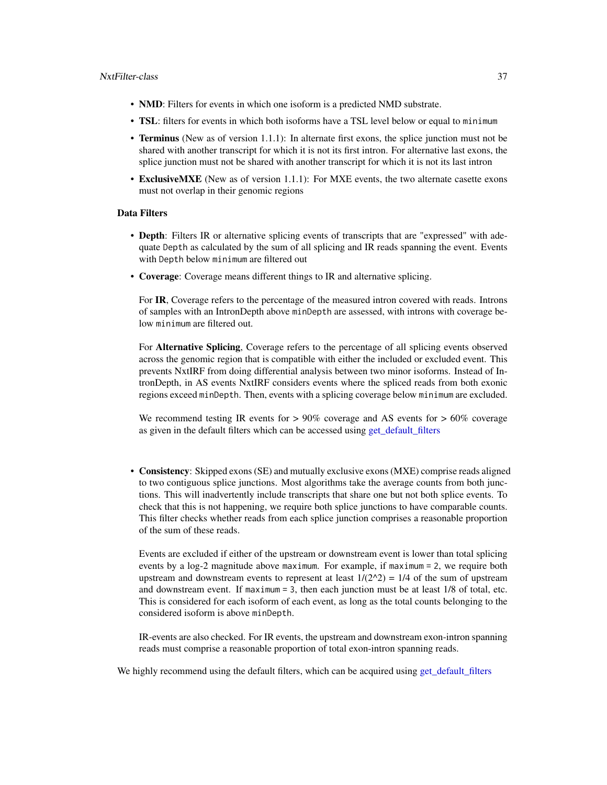- <span id="page-36-0"></span>• NMD: Filters for events in which one isoform is a predicted NMD substrate.
- TSL: filters for events in which both isoforms have a TSL level below or equal to minimum
- Terminus (New as of version 1.1.1): In alternate first exons, the splice junction must not be shared with another transcript for which it is not its first intron. For alternative last exons, the splice junction must not be shared with another transcript for which it is not its last intron
- ExclusiveMXE (New as of version 1.1.1): For MXE events, the two alternate casette exons must not overlap in their genomic regions

## Data Filters

- Depth: Filters IR or alternative splicing events of transcripts that are "expressed" with adequate Depth as calculated by the sum of all splicing and IR reads spanning the event. Events with Depth below minimum are filtered out
- Coverage: Coverage means different things to IR and alternative splicing.

For IR, Coverage refers to the percentage of the measured intron covered with reads. Introns of samples with an IntronDepth above minDepth are assessed, with introns with coverage below minimum are filtered out.

For Alternative Splicing, Coverage refers to the percentage of all splicing events observed across the genomic region that is compatible with either the included or excluded event. This prevents NxtIRF from doing differential analysis between two minor isoforms. Instead of IntronDepth, in AS events NxtIRF considers events where the spliced reads from both exonic regions exceed minDepth. Then, events with a splicing coverage below minimum are excluded.

We recommend testing IR events for  $> 90\%$  coverage and AS events for  $> 60\%$  coverage as given in the default filters which can be accessed using [get\\_default\\_filters](#page-45-1)

• Consistency: Skipped exons (SE) and mutually exclusive exons (MXE) comprise reads aligned to two contiguous splice junctions. Most algorithms take the average counts from both junctions. This will inadvertently include transcripts that share one but not both splice events. To check that this is not happening, we require both splice junctions to have comparable counts. This filter checks whether reads from each splice junction comprises a reasonable proportion of the sum of these reads.

Events are excluded if either of the upstream or downstream event is lower than total splicing events by a log-2 magnitude above maximum. For example, if maximum = 2, we require both upstream and downstream events to represent at least  $1/(2^2) = 1/4$  of the sum of upstream and downstream event. If maximum = 3, then each junction must be at least 1/8 of total, etc. This is considered for each isoform of each event, as long as the total counts belonging to the considered isoform is above minDepth.

IR-events are also checked. For IR events, the upstream and downstream exon-intron spanning reads must comprise a reasonable proportion of total exon-intron spanning reads.

We highly recommend using the default filters, which can be acquired using [get\\_default\\_filters](#page-45-1)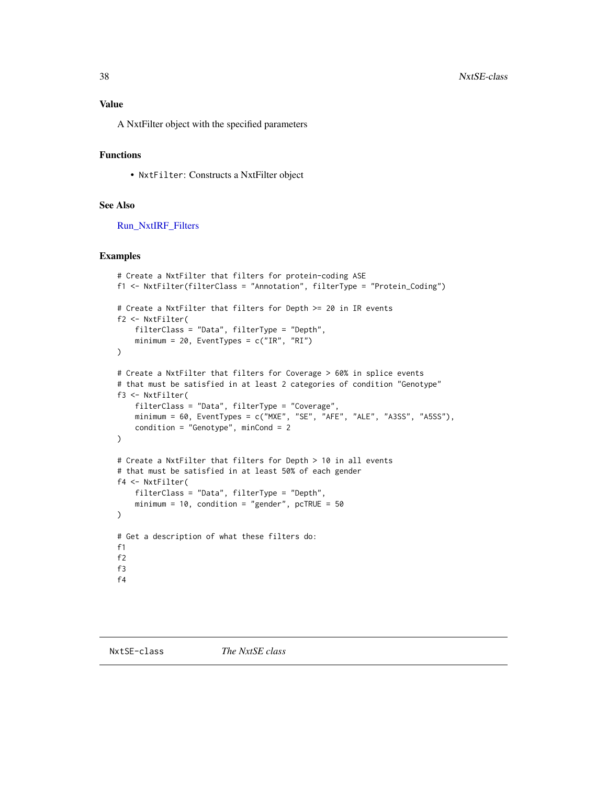## <span id="page-37-0"></span>Value

A NxtFilter object with the specified parameters

## Functions

• NxtFilter: Constructs a NxtFilter object

#### See Also

[Run\\_NxtIRF\\_Filters](#page-45-2)

## Examples

```
# Create a NxtFilter that filters for protein-coding ASE
f1 <- NxtFilter(filterClass = "Annotation", filterType = "Protein_Coding")
# Create a NxtFilter that filters for Depth >= 20 in IR events
f2 <- NxtFilter(
    filterClass = "Data", filterType = "Depth",
    minimum = 20, EventTypes = c("IR", "RI"))
# Create a NxtFilter that filters for Coverage > 60% in splice events
# that must be satisfied in at least 2 categories of condition "Genotype"
f3 <- NxtFilter(
   filterClass = "Data", filterType = "Coverage",
   minimum = 60, EventTypes = c("MXE", "SE", "AFE", "ALE", "A3SS", "A5SS"),
   condition = "Genotype", minCond = 2
\lambda# Create a NxtFilter that filters for Depth > 10 in all events
# that must be satisfied in at least 50% of each gender
f4 <- NxtFilter(
    filterClass = "Data", filterType = "Depth",
   minimum = 10, condition = "gender", pcTRUE = 50)
# Get a description of what these filters do:
f1
f2
f3
f4
```
<span id="page-37-2"></span><span id="page-37-1"></span>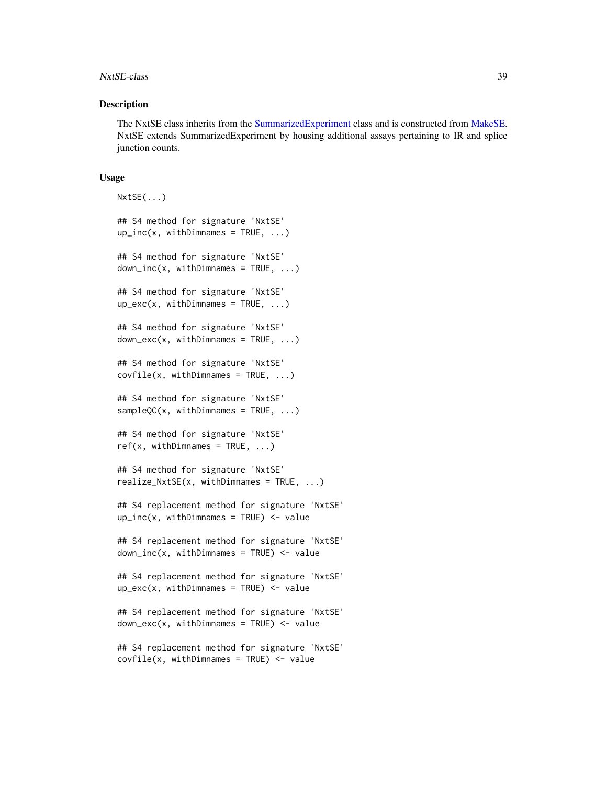#### <span id="page-38-0"></span>NxtSE-class 39

#### Description

The NxtSE class inherits from the [SummarizedExperiment](#page-0-0) class and is constructed from [MakeSE.](#page-27-1) NxtSE extends SummarizedExperiment by housing additional assays pertaining to IR and splice junction counts.

#### Usage

```
NxtSE(...)
## S4 method for signature 'NxtSE'
up\_inc(x, withDimnames = TRUE, ...)## S4 method for signature 'NxtSE'
down\_inc(x, withDimnames = TRUE, ...)## S4 method for signature 'NxtSE'
up\_exc(x, withDimnames = TRUE, ...)## S4 method for signature 'NxtSE'
down\_exc(x, withDimnames = TRUE, ...)## S4 method for signature 'NxtSE'
covfile(x, withDimnames = TRUE, ...)## S4 method for signature 'NxtSE'
sampleOC(x, withDimnames = TRUE, ...)## S4 method for signature 'NxtSE'
ref(x, withDimnames = TRUE, ...)## S4 method for signature 'NxtSE'
realize_NxtSE(x, withDimnames = TRUE, ...)## S4 replacement method for signature 'NxtSE'
up\_inc(x, withDimnames = TRUE) <- value
## S4 replacement method for signature 'NxtSE'
down\_inc(x, withDimnames = TRUE) <- value
## S4 replacement method for signature 'NxtSE'
up\_exc(x, withDimnames = TRUE) <- value
## S4 replacement method for signature 'NxtSE'
down\_exc(x, withDimnames = TRUE) <- value
## S4 replacement method for signature 'NxtSE'
covfile(x, withDimnames = TRUE) <- value
```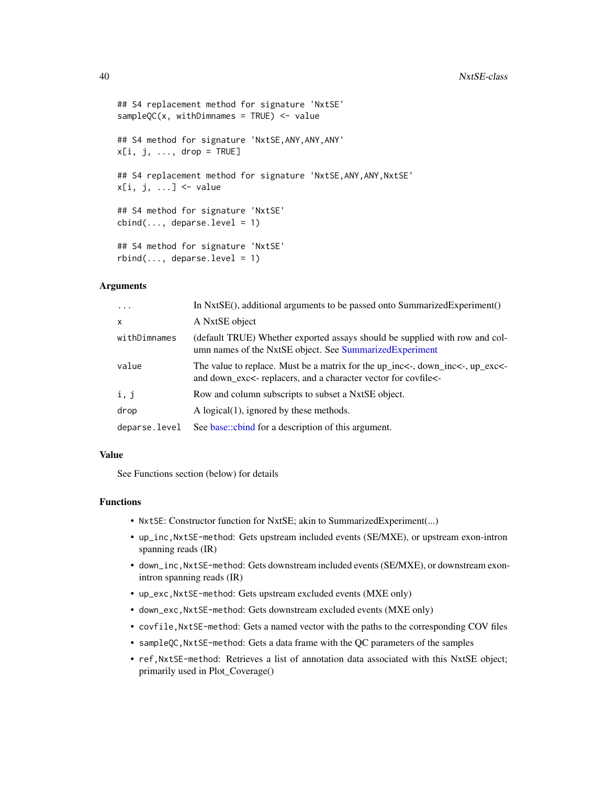```
## S4 replacement method for signature 'NxtSE'
sampleOC(x, withDimnames = TRUE) <- value
## S4 method for signature 'NxtSE, ANY, ANY, ANY'
x[i, j, \ldots, drop = TRUE]## S4 replacement method for signature 'NxtSE, ANY, ANY, NxtSE'
x[i, j, ...] <- value
## S4 method for signature 'NxtSE'
cbind(..., deparse.level = 1)## S4 method for signature 'NxtSE'
rbind(..., \text{ deparse. level} = 1)
```
#### Arguments

| $\ddotsc$     | In NxtSE(), additional arguments to be passed onto SummarizedExperiment()                                                                       |
|---------------|-------------------------------------------------------------------------------------------------------------------------------------------------|
| $\mathsf{x}$  | A NxtSE object                                                                                                                                  |
| withDimnames  | (default TRUE) Whether exported assays should be supplied with row and col-<br>umn names of the NxtSE object. See Summarized Experiment         |
| value         | The value to replace. Must be a matrix for the up_inc<-, down_inc<-, up_exc<-<br>and down_exc<- replacers, and a character vector for covfile<- |
| i, j          | Row and column subscripts to subset a NxtSE object.                                                                                             |
| drop          | A logical $(1)$ , ignored by these methods.                                                                                                     |
| deparse.level | See base::cbind for a description of this argument.                                                                                             |

#### Value

See Functions section (below) for details

## Functions

- NxtSE: Constructor function for NxtSE; akin to SummarizedExperiment(...)
- up\_inc,NxtSE-method: Gets upstream included events (SE/MXE), or upstream exon-intron spanning reads (IR)
- down\_inc,NxtSE-method: Gets downstream included events (SE/MXE), or downstream exonintron spanning reads (IR)
- up\_exc,NxtSE-method: Gets upstream excluded events (MXE only)
- down\_exc,NxtSE-method: Gets downstream excluded events (MXE only)
- covfile,NxtSE-method: Gets a named vector with the paths to the corresponding COV files
- sampleQC,NxtSE-method: Gets a data frame with the QC parameters of the samples
- ref,NxtSE-method: Retrieves a list of annotation data associated with this NxtSE object; primarily used in Plot\_Coverage()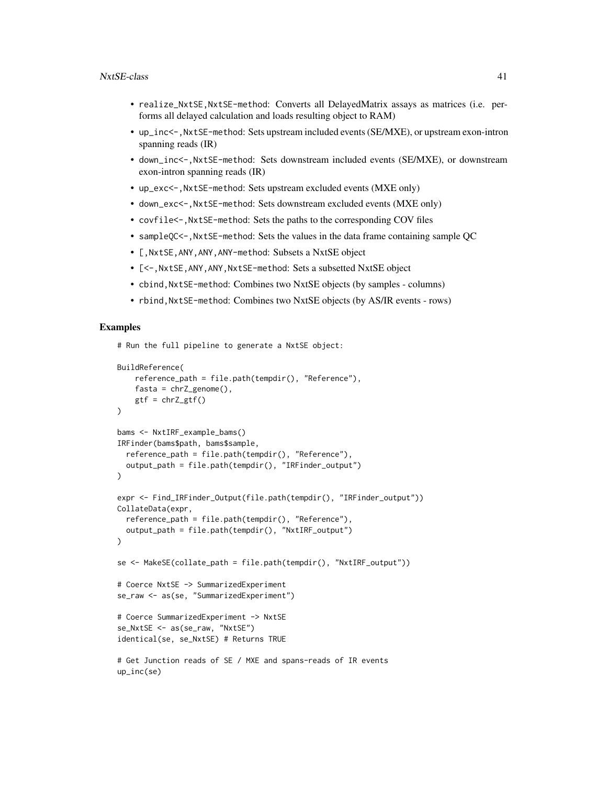- realize\_NxtSE,NxtSE-method: Converts all DelayedMatrix assays as matrices (i.e. performs all delayed calculation and loads resulting object to RAM)
- up\_inc<-,NxtSE-method: Sets upstream included events (SE/MXE), or upstream exon-intron spanning reads (IR)
- down\_inc<-,NxtSE-method: Sets downstream included events (SE/MXE), or downstream exon-intron spanning reads (IR)
- up\_exc<-,NxtSE-method: Sets upstream excluded events (MXE only)
- down\_exc<-, NxtSE-method: Sets downstream excluded events (MXE only)
- covfile<-, NxtSE-method: Sets the paths to the corresponding COV files
- sampleQC<-,NxtSE-method: Sets the values in the data frame containing sample QC
- [,NxtSE,ANY,ANY,ANY-method: Subsets a NxtSE object
- [<-, NxtSE, ANY, ANY, NxtSE-method: Sets a subsetted NxtSE object
- cbind, NxtSE-method: Combines two NxtSE objects (by samples columns)
- rbind,NxtSE-method: Combines two NxtSE objects (by AS/IR events rows)

#### Examples

# Run the full pipeline to generate a NxtSE object:

```
BuildReference(
    reference_path = file.path(tempdir(), "Reference"),
    fasta = chrZ\_genome(),
    gtf = chrZ_gtf()\lambdabams <- NxtIRF_example_bams()
IRFinder(bams$path, bams$sample,
  reference_path = file.path(tempdir(), "Reference"),
  output_path = file.path(tempdir(), "IRFinder_output")
)
expr <- Find_IRFinder_Output(file.path(tempdir(), "IRFinder_output"))
CollateData(expr,
  reference_path = file.path(tempdir(), "Reference"),
  output_path = file.path(tempdir(), "NxtIRF_output")
)
se <- MakeSE(collate_path = file.path(tempdir(), "NxtIRF_output"))
# Coerce NxtSE -> SummarizedExperiment
se_raw <- as(se, "SummarizedExperiment")
# Coerce SummarizedExperiment -> NxtSE
se_NxtSE <- as(se_raw, "NxtSE")
identical(se, se_NxtSE) # Returns TRUE
# Get Junction reads of SE / MXE and spans-reads of IR events
up_inc(se)
```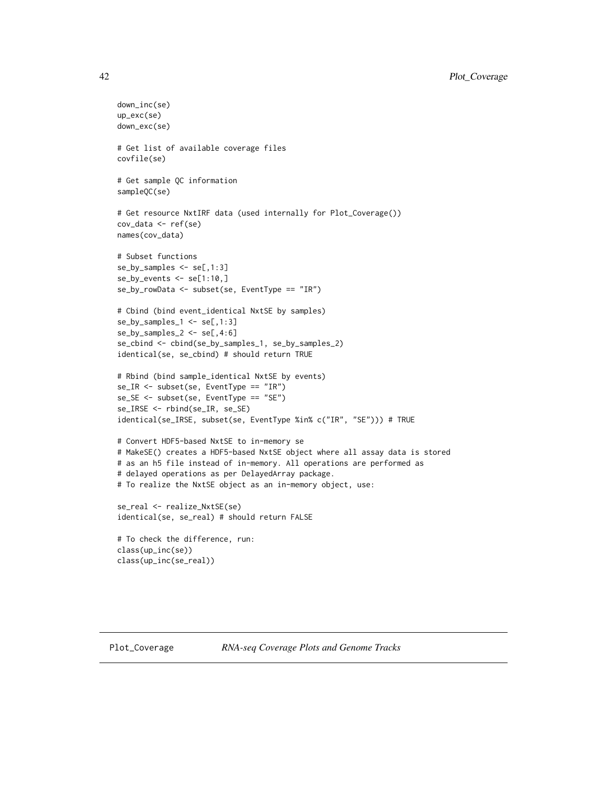```
down_inc(se)
up_exc(se)
down_exc(se)
# Get list of available coverage files
covfile(se)
# Get sample QC information
sampleQC(se)
# Get resource NxtIRF data (used internally for Plot_Coverage())
cov_data <- ref(se)
names(cov_data)
# Subset functions
se_by_samples <- se[,1:3]
se_by_events <- se[1:10,]
se_by_rowData <- subset(se, EventType == "IR")
# Cbind (bind event_identical NxtSE by samples)
se_by_samples_1 <- se[,1:3]
se_by_samples_2 \leftarrow se[, 4:6]se_cbind <- cbind(se_by_samples_1, se_by_samples_2)
identical(se, se_cbind) # should return TRUE
# Rbind (bind sample_identical NxtSE by events)
se_IR <- subset(se, EventType == "IR")
se_SE <- subset(se, EventType == "SE")
se_IRSE <- rbind(se_IR, se_SE)
identical(se_IRSE, subset(se, EventType %in% c("IR", "SE"))) # TRUE
# Convert HDF5-based NxtSE to in-memory se
# MakeSE() creates a HDF5-based NxtSE object where all assay data is stored
# as an h5 file instead of in-memory. All operations are performed as
# delayed operations as per DelayedArray package.
# To realize the NxtSE object as an in-memory object, use:
se_real <- realize_NxtSE(se)
identical(se, se_real) # should return FALSE
# To check the difference, run:
class(up_inc(se))
class(up_inc(se_real))
```
<span id="page-41-1"></span>

<span id="page-41-0"></span>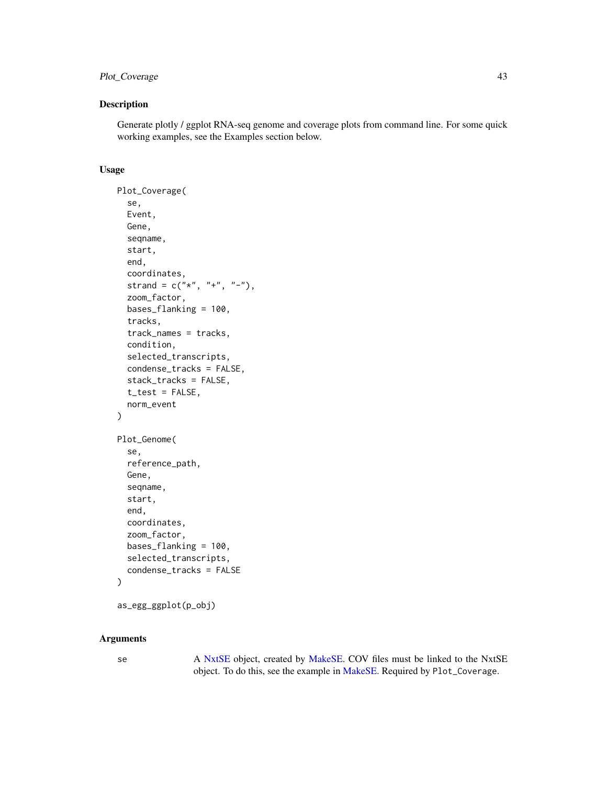## <span id="page-42-0"></span>Plot\_Coverage 43

## Description

Generate plotly / ggplot RNA-seq genome and coverage plots from command line. For some quick working examples, see the Examples section below.

#### Usage

```
Plot_Coverage(
  se,
 Event,
 Gene,
  seqname,
  start,
  end,
  coordinates,
  strand = c("*", "+", "--"),
  zoom_factor,
  bases_flanking = 100,
  tracks,
  track_names = tracks,
  condition,
  selected_transcripts,
  condense_tracks = FALSE,
  stack_tracks = FALSE,
  t_test = FALSE,
  norm_event
\mathcal{L}Plot_Genome(
  se,
  reference_path,
  Gene,
  seqname,
  start,
  end,
  coordinates,
  zoom_factor,
 bases_flanking = 100,
  selected_transcripts,
  condense_tracks = FALSE
)
```

```
as_egg_ggplot(p_obj)
```
## Arguments

se A [NxtSE](#page-37-1) object, created by [MakeSE.](#page-27-1) COV files must be linked to the NxtSE object. To do this, see the example in [MakeSE.](#page-27-1) Required by Plot\_Coverage.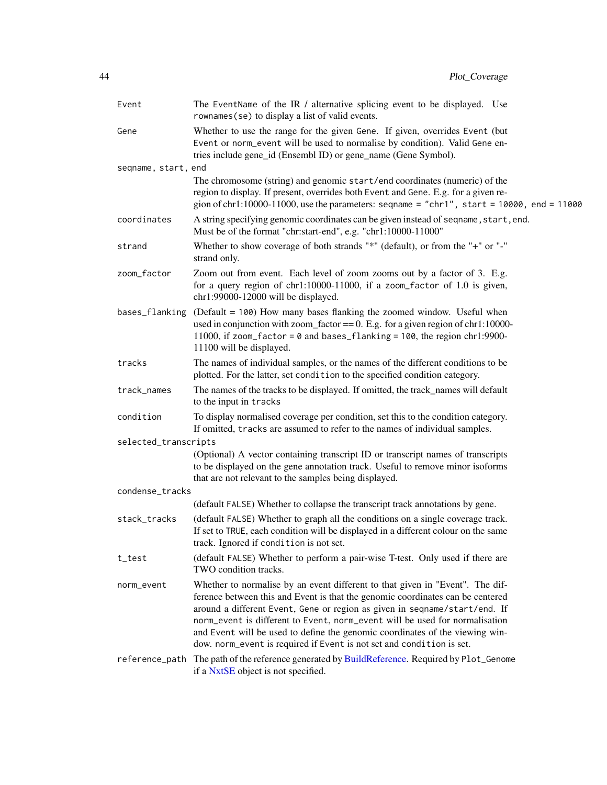<span id="page-43-0"></span>

| Event                | The EventName of the IR / alternative splicing event to be displayed. Use<br>rownames (se) to display a list of valid events.                                                                                                                                                                                                                                                                                                                                                         |
|----------------------|---------------------------------------------------------------------------------------------------------------------------------------------------------------------------------------------------------------------------------------------------------------------------------------------------------------------------------------------------------------------------------------------------------------------------------------------------------------------------------------|
| Gene                 | Whether to use the range for the given Gene. If given, overrides Event (but<br>Event or norm_event will be used to normalise by condition). Valid Gene en-<br>tries include gene_id (Ensembl ID) or gene_name (Gene Symbol).                                                                                                                                                                                                                                                          |
| seqname, start, end  |                                                                                                                                                                                                                                                                                                                                                                                                                                                                                       |
|                      | The chromosome (string) and genomic start/end coordinates (numeric) of the<br>region to display. If present, overrides both Event and Gene. E.g. for a given re-<br>gion of chr1:10000-11000, use the parameters: seqname = "chr1", start = $10000$ , end = $11000$                                                                                                                                                                                                                   |
| coordinates          | A string specifying genomic coordinates can be given instead of seqname, start, end.<br>Must be of the format "chr:start-end", e.g. "chr1:10000-11000"                                                                                                                                                                                                                                                                                                                                |
| strand               | Whether to show coverage of both strands "*" (default), or from the "+" or "-"<br>strand only.                                                                                                                                                                                                                                                                                                                                                                                        |
| zoom_factor          | Zoom out from event. Each level of zoom zooms out by a factor of 3. E.g.<br>for a query region of chr1:10000-11000, if a zoom_factor of 1.0 is given,<br>chr1:99000-12000 will be displayed.                                                                                                                                                                                                                                                                                          |
| bases_flanking       | (Default = 100) How many bases flanking the zoomed window. Useful when<br>used in conjunction with zoom_factor == $0$ . E.g. for a given region of chr1:10000-<br>11000, if zoom_factor = 0 and bases_flanking = 100, the region chr1:9900-<br>11100 will be displayed.                                                                                                                                                                                                               |
| tracks               | The names of individual samples, or the names of the different conditions to be<br>plotted. For the latter, set condition to the specified condition category.                                                                                                                                                                                                                                                                                                                        |
| track_names          | The names of the tracks to be displayed. If omitted, the track_names will default<br>to the input in tracks                                                                                                                                                                                                                                                                                                                                                                           |
| condition            | To display normalised coverage per condition, set this to the condition category.<br>If omitted, tracks are assumed to refer to the names of individual samples.                                                                                                                                                                                                                                                                                                                      |
| selected_transcripts |                                                                                                                                                                                                                                                                                                                                                                                                                                                                                       |
|                      | (Optional) A vector containing transcript ID or transcript names of transcripts<br>to be displayed on the gene annotation track. Useful to remove minor isoforms<br>that are not relevant to the samples being displayed.                                                                                                                                                                                                                                                             |
| condense_tracks      |                                                                                                                                                                                                                                                                                                                                                                                                                                                                                       |
|                      | (default FALSE) Whether to collapse the transcript track annotations by gene.                                                                                                                                                                                                                                                                                                                                                                                                         |
| stack_tracks         | (default FALSE) Whether to graph all the conditions on a single coverage track.<br>If set to TRUE, each condition will be displayed in a different colour on the same<br>track. Ignored if condition is not set.                                                                                                                                                                                                                                                                      |
| t_test               | (default FALSE) Whether to perform a pair-wise T-test. Only used if there are<br>TWO condition tracks.                                                                                                                                                                                                                                                                                                                                                                                |
| norm_event           | Whether to normalise by an event different to that given in "Event". The dif-<br>ference between this and Event is that the genomic coordinates can be centered<br>around a different Event, Gene or region as given in seqname/start/end. If<br>norm_event is different to Event, norm_event will be used for normalisation<br>and Event will be used to define the genomic coordinates of the viewing win-<br>dow. norm_event is required if Event is not set and condition is set. |
| reference_path       | The path of the reference generated by BuildReference. Required by Plot_Genome<br>if a NxtSE object is not specified.                                                                                                                                                                                                                                                                                                                                                                 |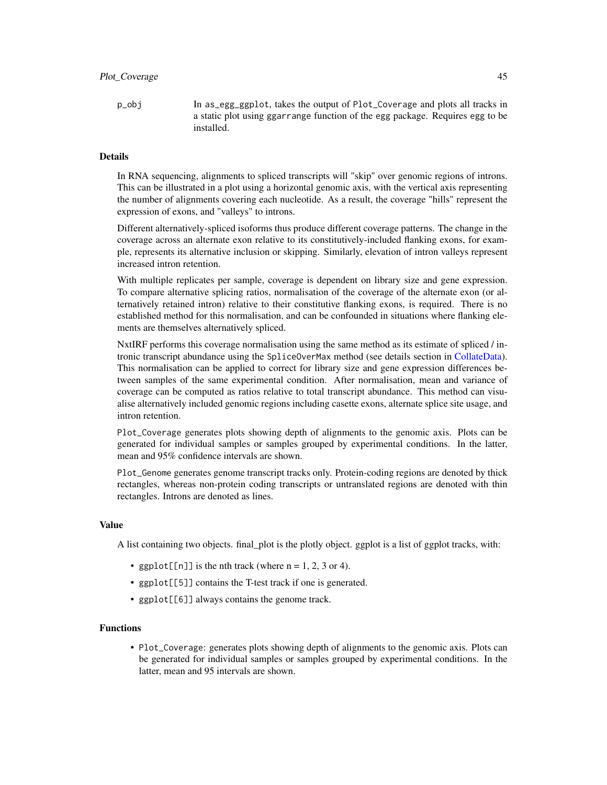<span id="page-44-0"></span>p\_obj In as\_egg\_ggplot, takes the output of Plot\_Coverage and plots all tracks in a static plot using ggarrange function of the egg package. Requires egg to be installed.

#### Details

In RNA sequencing, alignments to spliced transcripts will "skip" over genomic regions of introns. This can be illustrated in a plot using a horizontal genomic axis, with the vertical axis representing the number of alignments covering each nucleotide. As a result, the coverage "hills" represent the expression of exons, and "valleys" to introns.

Different alternatively-spliced isoforms thus produce different coverage patterns. The change in the coverage across an alternate exon relative to its constitutively-included flanking exons, for example, represents its alternative inclusion or skipping. Similarly, elevation of intron valleys represent increased intron retention.

With multiple replicates per sample, coverage is dependent on library size and gene expression. To compare alternative splicing ratios, normalisation of the coverage of the alternate exon (or alternatively retained intron) relative to their constitutive flanking exons, is required. There is no established method for this normalisation, and can be confounded in situations where flanking elements are themselves alternatively spliced.

NxtIRF performs this coverage normalisation using the same method as its estimate of spliced / intronic transcript abundance using the SpliceOverMax method (see details section in [CollateData\)](#page-14-1). This normalisation can be applied to correct for library size and gene expression differences between samples of the same experimental condition. After normalisation, mean and variance of coverage can be computed as ratios relative to total transcript abundance. This method can visualise alternatively included genomic regions including casette exons, alternate splice site usage, and intron retention.

Plot\_Coverage generates plots showing depth of alignments to the genomic axis. Plots can be generated for individual samples or samples grouped by experimental conditions. In the latter, mean and 95% confidence intervals are shown.

Plot\_Genome generates genome transcript tracks only. Protein-coding regions are denoted by thick rectangles, whereas non-protein coding transcripts or untranslated regions are denoted with thin rectangles. Introns are denoted as lines.

#### Value

A list containing two objects. final\_plot is the plotly object. ggplot is a list of ggplot tracks, with:

- ggplot [[n]] is the nth track (where  $n = 1, 2, 3$  or 4).
- ggplot[[5]] contains the T-test track if one is generated.
- ggplot[[6]] always contains the genome track.

#### Functions

• Plot\_Coverage: generates plots showing depth of alignments to the genomic axis. Plots can be generated for individual samples or samples grouped by experimental conditions. In the latter, mean and 95 intervals are shown.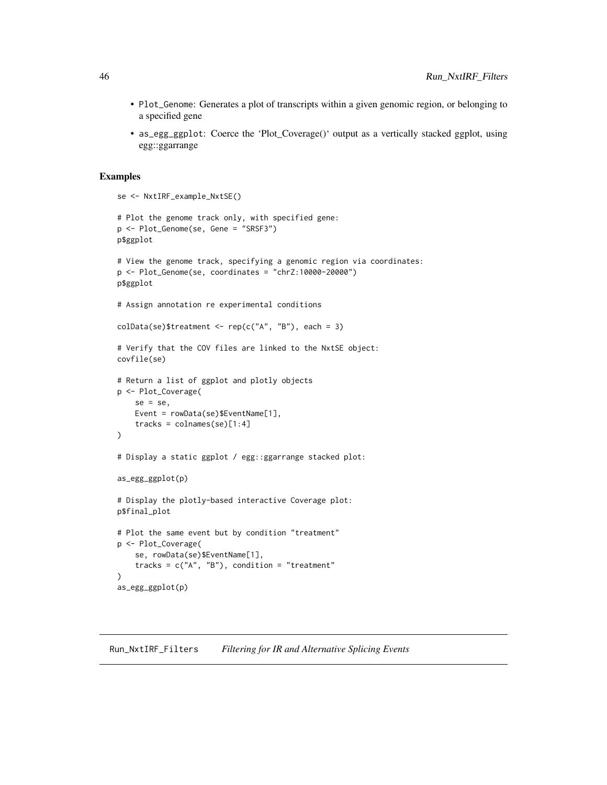- <span id="page-45-0"></span>• Plot\_Genome: Generates a plot of transcripts within a given genomic region, or belonging to a specified gene
- as\_egg\_ggplot: Coerce the 'Plot\_Coverage()' output as a vertically stacked ggplot, using egg::ggarrange

#### Examples

```
se <- NxtIRF_example_NxtSE()
# Plot the genome track only, with specified gene:
p <- Plot_Genome(se, Gene = "SRSF3")
p$ggplot
# View the genome track, specifying a genomic region via coordinates:
p <- Plot_Genome(se, coordinates = "chrZ:10000-20000")
p$ggplot
# Assign annotation re experimental conditions
collData(se)$treatment <- rep(c("A", "B"), each = 3)# Verify that the COV files are linked to the NxtSE object:
covfile(se)
# Return a list of ggplot and plotly objects
p <- Plot_Coverage(
    se = se,
    Event = rowData(se)$EventName[1],
    tracks = columns(se)[1:4]\lambda# Display a static ggplot / egg::ggarrange stacked plot:
as_egg_ggplot(p)
# Display the plotly-based interactive Coverage plot:
p$final_plot
# Plot the same event but by condition "treatment"
p <- Plot_Coverage(
    se, rowData(se)$EventName[1],
    tracks = c("A", "B"), condition = "treatment"
\lambdaas_egg_ggplot(p)
```
#### <span id="page-45-2"></span><span id="page-45-1"></span>Run\_NxtIRF\_Filters *Filtering for IR and Alternative Splicing Events*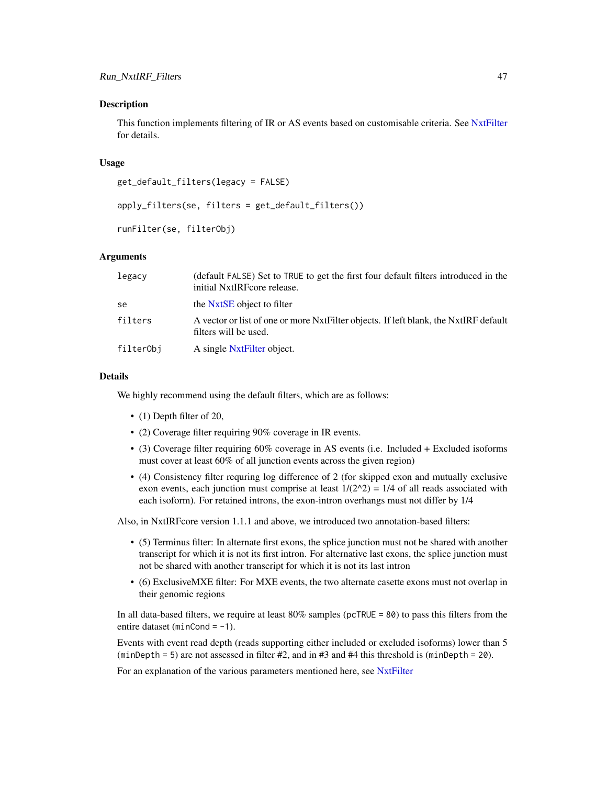#### <span id="page-46-0"></span>Description

This function implements filtering of IR or AS events based on customisable criteria. See [NxtFilter](#page-34-1) for details.

#### Usage

```
get_default_filters(legacy = FALSE)
```

```
apply_filters(se, filters = get_default_filters())
```

```
runFilter(se, filterObj)
```
#### Arguments

| legacy    | (default FALSE) Set to TRUE to get the first four default filters introduced in the<br>initial NxtIRF core release. |
|-----------|---------------------------------------------------------------------------------------------------------------------|
| se        | the NxtSE object to filter                                                                                          |
| filters   | A vector or list of one or more NxtFilter objects. If left blank, the NxtIRF default<br>filters will be used.       |
| filterObj | A single NxtFilter object.                                                                                          |

## Details

We highly recommend using the default filters, which are as follows:

- (1) Depth filter of 20,
- (2) Coverage filter requiring 90% coverage in IR events.
- (3) Coverage filter requiring 60% coverage in AS events (i.e. Included + Excluded isoforms must cover at least 60% of all junction events across the given region)
- (4) Consistency filter requring log difference of 2 (for skipped exon and mutually exclusive exon events, each junction must comprise at least  $1/(2^2) = 1/4$  of all reads associated with each isoform). For retained introns, the exon-intron overhangs must not differ by 1/4

Also, in NxtIRFcore version 1.1.1 and above, we introduced two annotation-based filters:

- (5) Terminus filter: In alternate first exons, the splice junction must not be shared with another transcript for which it is not its first intron. For alternative last exons, the splice junction must not be shared with another transcript for which it is not its last intron
- (6) ExclusiveMXE filter: For MXE events, the two alternate casette exons must not overlap in their genomic regions

In all data-based filters, we require at least 80% samples (pcTRUE = 80) to pass this filters from the entire dataset (minCond =  $-1$ ).

Events with event read depth (reads supporting either included or excluded isoforms) lower than 5  $(\text{minDepth} = 5)$  are not assessed in filter #2, and in #3 and #4 this threshold is  $(\text{minDepth} = 20)$ .

For an explanation of the various parameters mentioned here, see [NxtFilter](#page-34-1)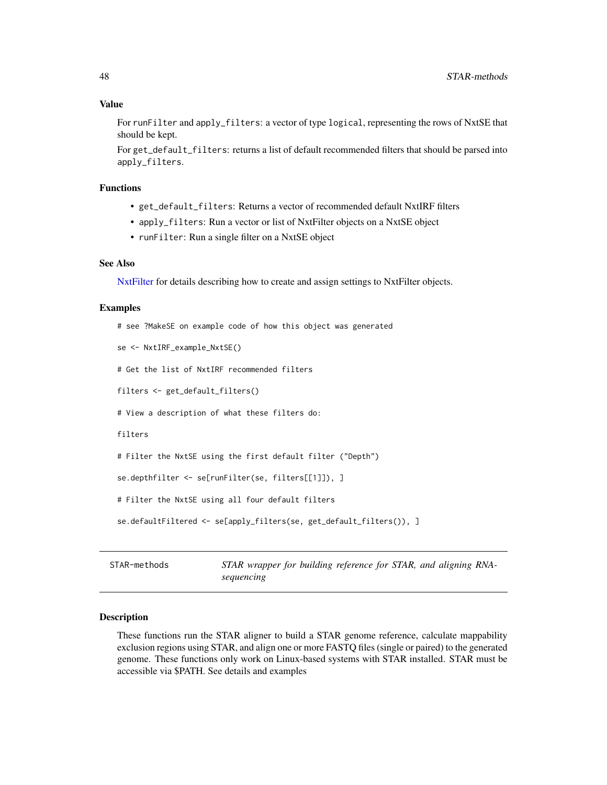## <span id="page-47-0"></span>Value

For runFilter and apply\_filters: a vector of type logical, representing the rows of NxtSE that should be kept.

For get\_default\_filters: returns a list of default recommended filters that should be parsed into apply\_filters.

#### Functions

- get\_default\_filters: Returns a vector of recommended default NxtIRF filters
- apply\_filters: Run a vector or list of NxtFilter objects on a NxtSE object
- runFilter: Run a single filter on a NxtSE object

#### See Also

[NxtFilter](#page-34-1) for details describing how to create and assign settings to NxtFilter objects.

#### Examples

```
# see ?MakeSE on example code of how this object was generated
se <- NxtIRF_example_NxtSE()
# Get the list of NxtIRF recommended filters
filters <- get_default_filters()
# View a description of what these filters do:
filters
# Filter the NxtSE using the first default filter ("Depth")
se.depthfilter <- se[runFilter(se, filters[[1]]), ]
# Filter the NxtSE using all four default filters
se.defaultFiltered <- se[apply_filters(se, get_default_filters()), ]
```
<span id="page-47-1"></span>STAR-methods *STAR wrapper for building reference for STAR, and aligning RNAsequencing*

#### <span id="page-47-2"></span>Description

These functions run the STAR aligner to build a STAR genome reference, calculate mappability exclusion regions using STAR, and align one or more FASTQ files (single or paired) to the generated genome. These functions only work on Linux-based systems with STAR installed. STAR must be accessible via \$PATH. See details and examples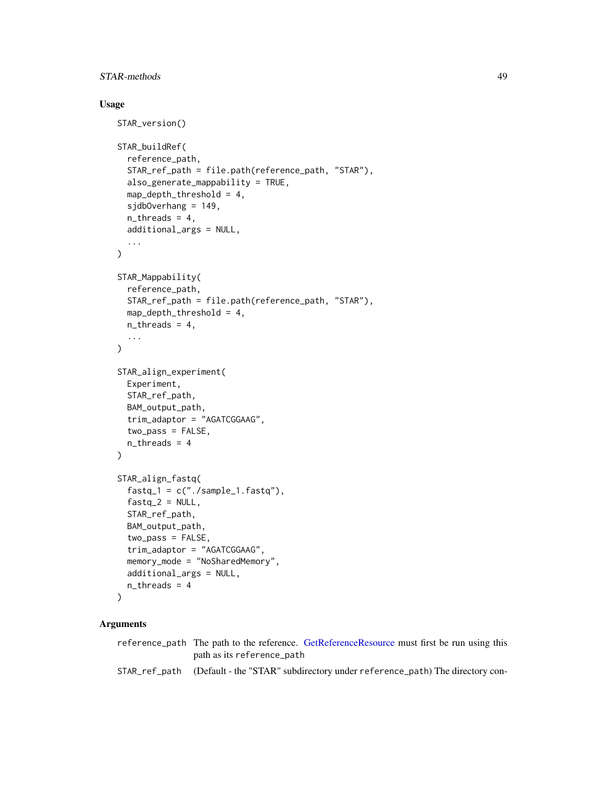## <span id="page-48-0"></span>STAR-methods 49

## Usage

```
STAR_version()
STAR_buildRef(
  reference_path,
  STAR_ref_path = file.path(reference_path, "STAR"),
  also_generate_mappability = TRUE,
  map_depth_threshold = 4,
  sjdbOverhang = 149,
  n_{th}reads = 4,
  additional_args = NULL,
  ...
\mathcal{L}STAR_Mappability(
  reference_path,
  STAR_ref_path = file.path(reference_path, "STAR"),
  map_depth_threshold = 4,
  n_{th}reads = 4,
  ...
\mathcal{L}STAR_align_experiment(
 Experiment,
  STAR_ref_path,
  BAM_output_path,
  trim_adaptor = "AGATCGGAAG",
  two_pass = FALSE,
  n_{th}reads = 4
\lambdaSTAR_align_fastq(
  fastq_1 = c("./sample_1estarq"),fastq_2 = NULL,STAR_ref_path,
  BAM_output_path,
  two_pass = FALSE,
  trim_adaptor = "AGATCGGAAG",
  memory_mode = "NoSharedMemory",
  additional_args = NULL,
  n_threads = 4
)
```
## Arguments

reference\_path The path to the reference. [GetReferenceResource](#page-8-2) must first be run using this path as its reference\_path STAR\_ref\_path (Default - the "STAR" subdirectory under reference\_path) The directory con-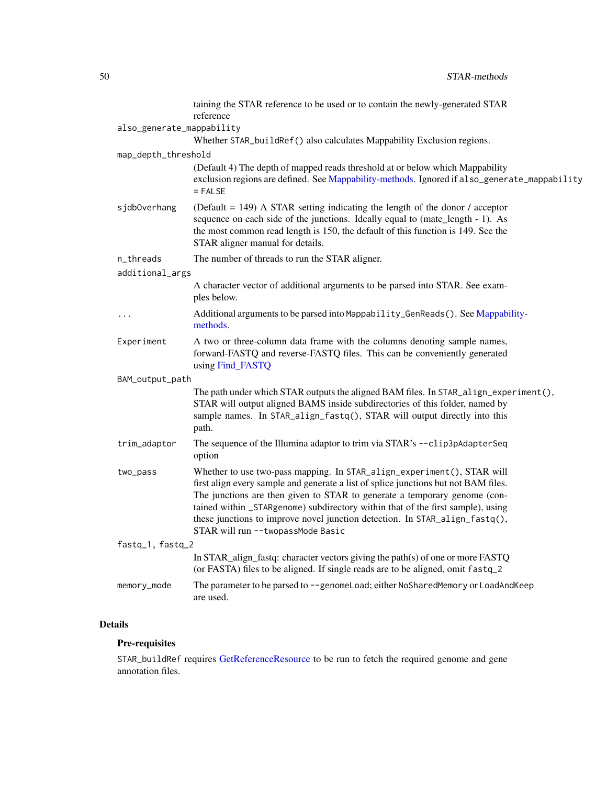<span id="page-49-0"></span>

|                           | taining the STAR reference to be used or to contain the newly-generated STAR<br>reference                                                                                                                                                                                                                                                                                                                                                          |  |
|---------------------------|----------------------------------------------------------------------------------------------------------------------------------------------------------------------------------------------------------------------------------------------------------------------------------------------------------------------------------------------------------------------------------------------------------------------------------------------------|--|
| also_generate_mappability |                                                                                                                                                                                                                                                                                                                                                                                                                                                    |  |
|                           | Whether STAR_buildRef() also calculates Mappability Exclusion regions.                                                                                                                                                                                                                                                                                                                                                                             |  |
| map_depth_threshold       |                                                                                                                                                                                                                                                                                                                                                                                                                                                    |  |
|                           | (Default 4) The depth of mapped reads threshold at or below which Mappability<br>exclusion regions are defined. See Mappability-methods. Ignored if also_generate_mappability<br>$=$ FALSE                                                                                                                                                                                                                                                         |  |
| sjdbOverhang              | (Default = $149$ ) A STAR setting indicating the length of the donor / acceptor<br>sequence on each side of the junctions. Ideally equal to (mate_length - 1). As<br>the most common read length is 150, the default of this function is 149. See the<br>STAR aligner manual for details.                                                                                                                                                          |  |
| n_threads                 | The number of threads to run the STAR aligner.                                                                                                                                                                                                                                                                                                                                                                                                     |  |
| additional_args           |                                                                                                                                                                                                                                                                                                                                                                                                                                                    |  |
|                           | A character vector of additional arguments to be parsed into STAR. See exam-<br>ples below.                                                                                                                                                                                                                                                                                                                                                        |  |
| $\ddots$                  | Additional arguments to be parsed into Mappability_GenReads(). See Mappability-<br>methods.                                                                                                                                                                                                                                                                                                                                                        |  |
| Experiment                | A two or three-column data frame with the columns denoting sample names,<br>forward-FASTQ and reverse-FASTQ files. This can be conveniently generated<br>using Find_FASTQ                                                                                                                                                                                                                                                                          |  |
| BAM_output_path           |                                                                                                                                                                                                                                                                                                                                                                                                                                                    |  |
|                           | The path under which STAR outputs the aligned BAM files. In STAR_align_experiment(),<br>STAR will output aligned BAMS inside subdirectories of this folder, named by<br>sample names. In STAR_align_fastq(), STAR will output directly into this<br>path.                                                                                                                                                                                          |  |
| trim_adaptor              | The sequence of the Illumina adaptor to trim via STAR's --clip3pAdapterSeq<br>option                                                                                                                                                                                                                                                                                                                                                               |  |
| two_pass                  | Whether to use two-pass mapping. In STAR_align_experiment(), STAR will<br>first align every sample and generate a list of splice junctions but not BAM files.<br>The junctions are then given to STAR to generate a temporary genome (con-<br>tained within _STARgenome) subdirectory within that of the first sample), using<br>these junctions to improve novel junction detection. In STAR_align_fastq(),<br>STAR will run -- twopassMode Basic |  |
| fastq_1, fastq_2          |                                                                                                                                                                                                                                                                                                                                                                                                                                                    |  |
|                           | In STAR_align_fastq: character vectors giving the path(s) of one or more FASTQ<br>(or FASTA) files to be aligned. If single reads are to be aligned, omit fastq_2                                                                                                                                                                                                                                                                                  |  |
| memory_mode               | The parameter to be parsed to --genomeLoad; either NoSharedMemory or LoadAndKeep<br>are used.                                                                                                                                                                                                                                                                                                                                                      |  |

## Details

## Pre-requisites

STAR\_buildRef requires [GetReferenceResource](#page-8-2) to be run to fetch the required genome and gene annotation files.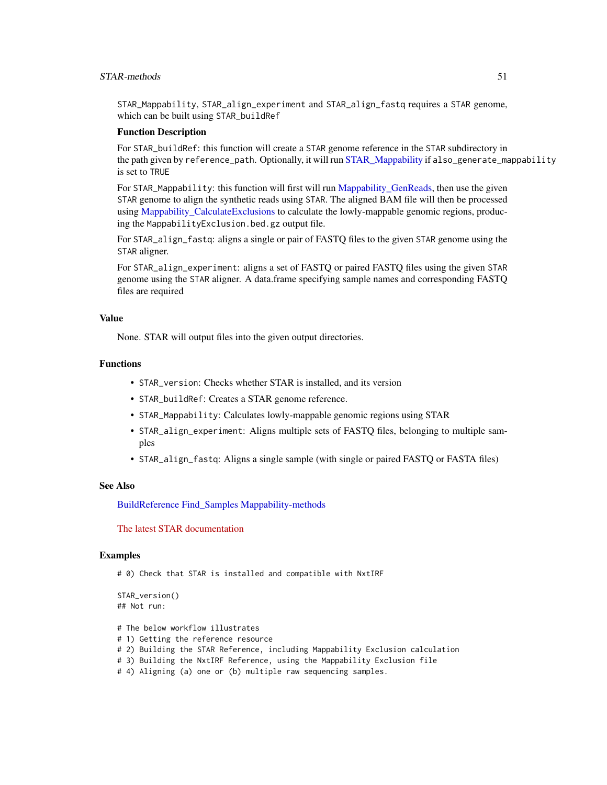## <span id="page-50-0"></span>STAR-methods 51

STAR\_Mappability, STAR\_align\_experiment and STAR\_align\_fastq requires a STAR genome, which can be built using STAR\_buildRef

#### Function Description

For STAR\_buildRef: this function will create a STAR genome reference in the STAR subdirectory in the path given by reference\_path. Optionally, it will run [STAR\\_Mappability](#page-47-2) if also\_generate\_mappability is set to TRUE

For STAR\_Mappability: this function will first will run Mappability GenReads, then use the given STAR genome to align the synthetic reads using STAR. The aligned BAM file will then be processed using [Mappability\\_CalculateExclusions](#page-32-1) to calculate the lowly-mappable genomic regions, producing the MappabilityExclusion.bed.gz output file.

For STAR\_align\_fastq: aligns a single or pair of FASTQ files to the given STAR genome using the STAR aligner.

For STAR\_align\_experiment: aligns a set of FASTQ or paired FASTQ files using the given STAR genome using the STAR aligner. A data.frame specifying sample names and corresponding FASTQ files are required

## Value

None. STAR will output files into the given output directories.

#### Functions

- STAR\_version: Checks whether STAR is installed, and its version
- STAR\_buildRef: Creates a STAR genome reference.
- STAR\_Mappability: Calculates lowly-mappable genomic regions using STAR
- STAR\_align\_experiment: Aligns multiple sets of FASTQ files, belonging to multiple samples
- STAR\_align\_fastq: Aligns a single sample (with single or paired FASTQ or FASTA files)

## See Also

[BuildReference](#page-8-1) [Find\\_Samples](#page-22-2) [Mappability-methods](#page-32-2)

[The latest STAR documentation](https://github.com/alexdobin/STAR/blob/master/doc/STARmanual.pdf)

#### Examples

# 0) Check that STAR is installed and compatible with NxtIRF

```
STAR_version()
## Not run:
```
- # The below workflow illustrates
- # 1) Getting the reference resource
- # 2) Building the STAR Reference, including Mappability Exclusion calculation
- # 3) Building the NxtIRF Reference, using the Mappability Exclusion file
- # 4) Aligning (a) one or (b) multiple raw sequencing samples.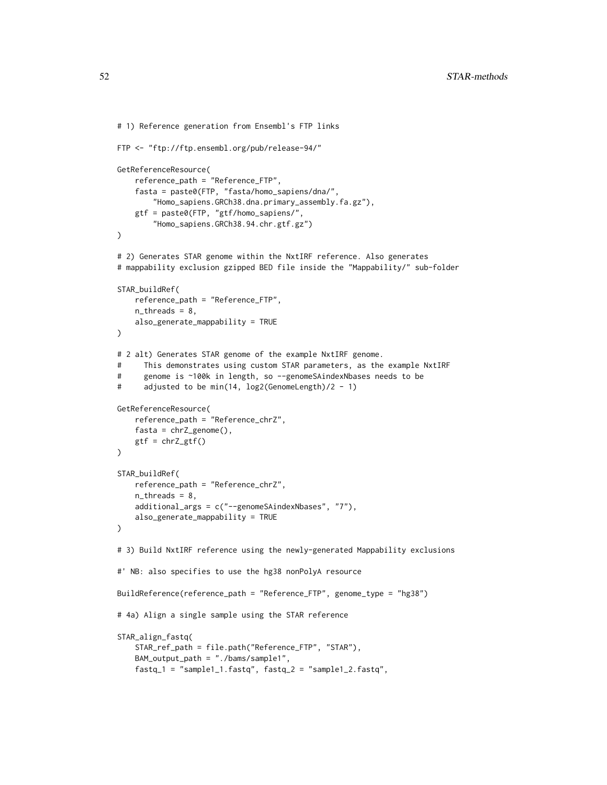```
# 1) Reference generation from Ensembl's FTP links
FTP <- "ftp://ftp.ensembl.org/pub/release-94/"
GetReferenceResource(
    reference_path = "Reference_FTP",
    fasta = paste0(FTP, "fasta/homo_sapiens/dna/",
        "Homo_sapiens.GRCh38.dna.primary_assembly.fa.gz"),
    gtf = paste0(FTP, "gtf/homo_sapiens/",
        "Homo_sapiens.GRCh38.94.chr.gtf.gz")
)
# 2) Generates STAR genome within the NxtIRF reference. Also generates
# mappability exclusion gzipped BED file inside the "Mappability/" sub-folder
STAR_buildRef(
    reference_path = "Reference_FTP",
    n_{th}reads = 8,
    also_generate_mappability = TRUE
\lambda# 2 alt) Generates STAR genome of the example NxtIRF genome.
# This demonstrates using custom STAR parameters, as the example NxtIRF
# genome is ~100k in length, so --genomeSAindexNbases needs to be
# adjusted to be min(14, log2(GenomeLength)/2 - 1)
GetReferenceResource(
   reference_path = "Reference_chrZ",
    fasta = chrZ\_genome(),
   gtf = chrZ_gtf()\lambdaSTAR_buildRef(
    reference_path = "Reference_chrZ",
    n_{th}reads = 8,
    additional_args = c("--genomeSAindexNbases", "7"),
    also_generate_mappability = TRUE
)
# 3) Build NxtIRF reference using the newly-generated Mappability exclusions
#' NB: also specifies to use the hg38 nonPolyA resource
BuildReference(reference_path = "Reference_FTP", genome_type = "hg38")
# 4a) Align a single sample using the STAR reference
STAR_align_fastq(
    STAR_ref_path = file.path("Reference_FTP", "STAR"),
    BAM_output_path = "./bams/sample1",
```
fastq\_1 = "sample1\_1.fastq", fastq\_2 = "sample1\_2.fastq",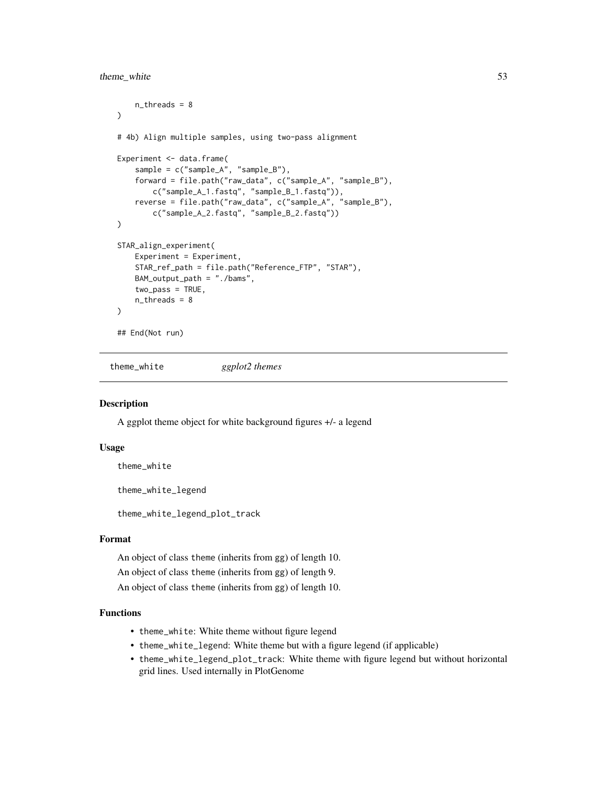## <span id="page-52-0"></span>theme\_white 53

```
n_threads = 8
)
# 4b) Align multiple samples, using two-pass alignment
Experiment <- data.frame(
   sample = c("sample_A", "sample_B"),
   forward = file.path("raw_data", c("sample_A", "sample_B"),
        c("sample_A_1.fastq", "sample_B_1.fastq")),
   reverse = file.path("raw_data", c("sample_A", "sample_B"),
        c("sample_A_2.fastq", "sample_B_2.fastq"))
\mathcal{L}STAR_align_experiment(
    Experiment = Experiment,
   STAR_ref_path = file.path("Reference_FTP", "STAR"),
   BAM_output_path = "./bams",
   two-pass = TRUE,n_threads = 8
)
## End(Not run)
```
theme\_white *ggplot2 themes*

## Description

A ggplot theme object for white background figures +/- a legend

#### Usage

theme\_white

theme\_white\_legend

theme\_white\_legend\_plot\_track

#### Format

An object of class theme (inherits from gg) of length 10.

An object of class theme (inherits from gg) of length 9.

An object of class theme (inherits from gg) of length 10.

## Functions

- theme\_white: White theme without figure legend
- theme\_white\_legend: White theme but with a figure legend (if applicable)
- theme\_white\_legend\_plot\_track: White theme with figure legend but without horizontal grid lines. Used internally in PlotGenome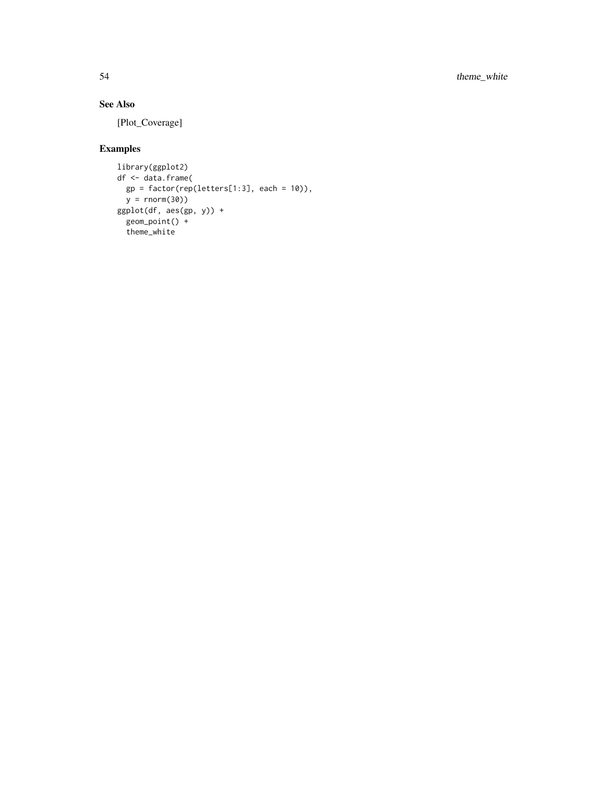## See Also

[Plot\_Coverage]

## Examples

```
library(ggplot2)
df <- data.frame(
 gp = factor(rep(leftters[1:3], each = 10)),y = rnorm(30))
ggplot(df, aes(gp, y)) +
  geom_point() +
  theme_white
```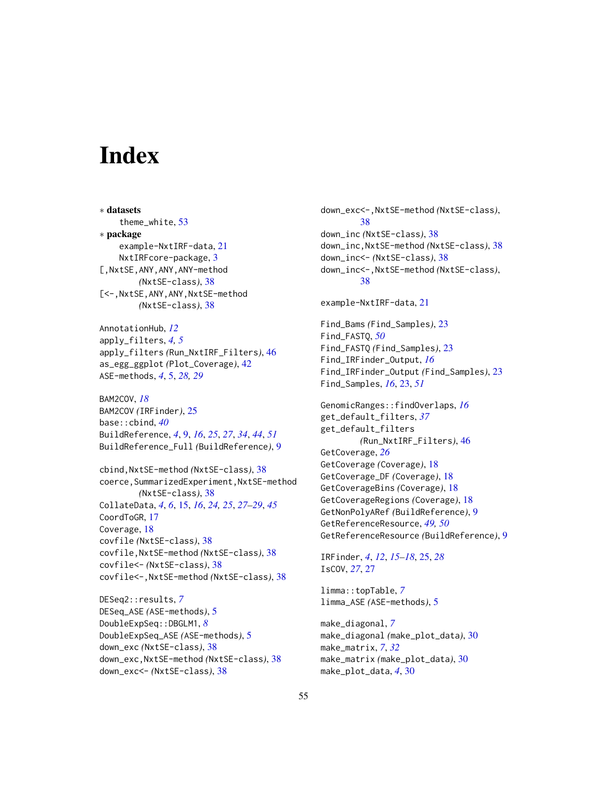# <span id="page-54-0"></span>**Index**

∗ datasets theme\_white, [53](#page-52-0) ∗ package example-NxtIRF-data, [21](#page-20-0) NxtIRFcore-package, [3](#page-2-0) [,NxtSE,ANY,ANY,ANY-method *(*NxtSE-class*)*, [38](#page-37-0) [<-,NxtSE,ANY,ANY,NxtSE-method *(*NxtSE-class*)*, [38](#page-37-0)

AnnotationHub, *[12](#page-11-0)* apply\_filters, *[4,](#page-3-0) [5](#page-4-0)* apply\_filters *(*Run\_NxtIRF\_Filters*)*, [46](#page-45-0) as\_egg\_ggplot *(*Plot\_Coverage*)*, [42](#page-41-0) ASE-methods, *[4](#page-3-0)*, [5,](#page-4-0) *[28,](#page-27-0) [29](#page-28-0)*

BAM2COV, *[18](#page-17-0)* BAM2COV *(*IRFinder*)*, [25](#page-24-0) base::cbind, *[40](#page-39-0)* BuildReference, *[4](#page-3-0)*, [9,](#page-8-0) *[16](#page-15-0)*, *[25](#page-24-0)*, *[27](#page-26-0)*, *[34](#page-33-0)*, *[44](#page-43-0)*, *[51](#page-50-0)* BuildReference\_Full *(*BuildReference*)*, [9](#page-8-0)

cbind,NxtSE-method *(*NxtSE-class*)*, [38](#page-37-0) coerce,SummarizedExperiment,NxtSE-method *(*NxtSE-class*)*, [38](#page-37-0) CollateData, *[4](#page-3-0)*, *[6](#page-5-0)*, [15,](#page-14-0) *[16](#page-15-0)*, *[24,](#page-23-0) [25](#page-24-0)*, *[27–](#page-26-0)[29](#page-28-0)*, *[45](#page-44-0)* CoordToGR, [17](#page-16-0) Coverage, [18](#page-17-0) covfile *(*NxtSE-class*)*, [38](#page-37-0) covfile,NxtSE-method *(*NxtSE-class*)*, [38](#page-37-0) covfile<- *(*NxtSE-class*)*, [38](#page-37-0) covfile<-,NxtSE-method *(*NxtSE-class*)*, [38](#page-37-0)

DESeq2::results, *[7](#page-6-0)* DESeq\_ASE *(*ASE-methods*)*, [5](#page-4-0) DoubleExpSeq::DBGLM1, *[8](#page-7-0)* DoubleExpSeq\_ASE *(*ASE-methods*)*, [5](#page-4-0) down\_exc *(*NxtSE-class*)*, [38](#page-37-0) down\_exc,NxtSE-method *(*NxtSE-class*)*, [38](#page-37-0) down\_exc<- *(*NxtSE-class*)*, [38](#page-37-0)

down\_exc<-,NxtSE-method *(*NxtSE-class*)*, [38](#page-37-0) down\_inc *(*NxtSE-class*)*, [38](#page-37-0) down\_inc,NxtSE-method *(*NxtSE-class*)*, [38](#page-37-0) down\_inc<- *(*NxtSE-class*)*, [38](#page-37-0) down\_inc<-,NxtSE-method *(*NxtSE-class*)*, [38](#page-37-0)

example-NxtIRF-data, [21](#page-20-0)

Find\_Bams *(*Find\_Samples*)*, [23](#page-22-0) Find\_FASTQ, *[50](#page-49-0)* Find\_FASTQ *(*Find\_Samples*)*, [23](#page-22-0) Find\_IRFinder\_Output, *[16](#page-15-0)* Find\_IRFinder\_Output *(*Find\_Samples*)*, [23](#page-22-0) Find\_Samples, *[16](#page-15-0)*, [23,](#page-22-0) *[51](#page-50-0)*

GenomicRanges::findOverlaps, *[16](#page-15-0)* get\_default\_filters, *[37](#page-36-0)* get\_default\_filters *(*Run\_NxtIRF\_Filters*)*, [46](#page-45-0) GetCoverage, *[26](#page-25-0)* GetCoverage *(*Coverage*)*, [18](#page-17-0) GetCoverage\_DF *(*Coverage*)*, [18](#page-17-0) GetCoverageBins *(*Coverage*)*, [18](#page-17-0) GetCoverageRegions *(*Coverage*)*, [18](#page-17-0) GetNonPolyARef *(*BuildReference*)*, [9](#page-8-0) GetReferenceResource, *[49,](#page-48-0) [50](#page-49-0)* GetReferenceResource *(*BuildReference*)*, [9](#page-8-0)

IRFinder, *[4](#page-3-0)*, *[12](#page-11-0)*, *[15](#page-14-0)[–18](#page-17-0)*, [25,](#page-24-0) *[28](#page-27-0)* IsCOV, *[27](#page-26-0)*, [27](#page-26-0)

limma::topTable, *[7](#page-6-0)* limma\_ASE *(*ASE-methods*)*, [5](#page-4-0)

make\_diagonal, *[7](#page-6-0)* make\_diagonal *(*make\_plot\_data*)*, [30](#page-29-0) make\_matrix, *[7](#page-6-0)*, *[32](#page-31-0)* make\_matrix *(*make\_plot\_data*)*, [30](#page-29-0) make\_plot\_data, *[4](#page-3-0)*, [30](#page-29-0)